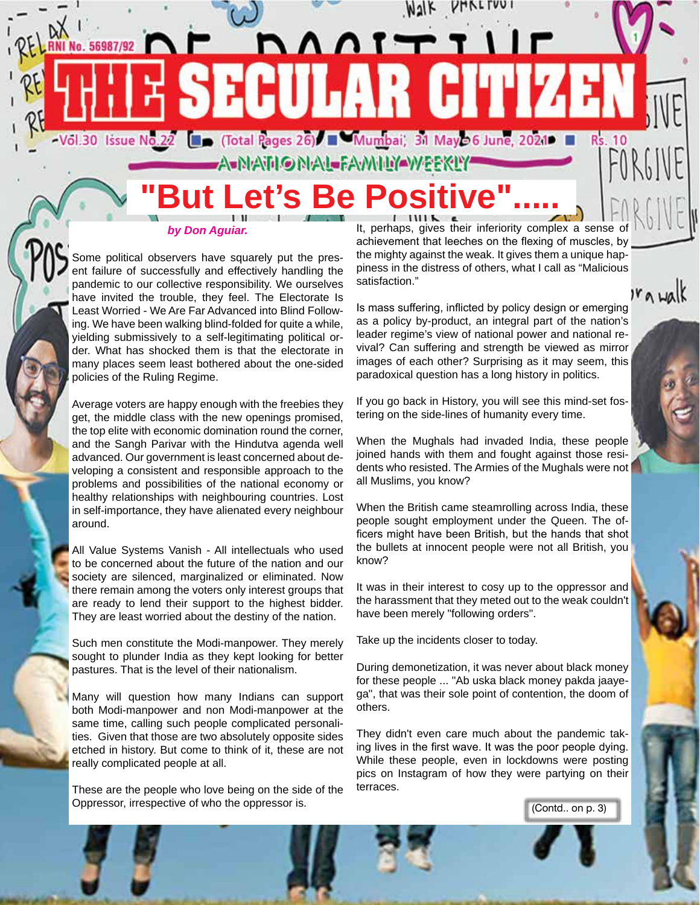# -Vol.30 Issue No.22 ( Cotal Pages 26) Numbai, 31 May 36 June, 2021 **A-NANONAL-FAMNYAWEEKLY'**

DANTTIIN

**SECULAR CITIZEN** 

# **But Let's Be Positive"**

#### *by Don Aguiar.*

No. 56987/92

Some political observers have squarely put the present failure of successfully and effectively handling the pandemic to our collective responsibility. We ourselves have invited the trouble, they feel. The Electorate Is Least Worried - We Are Far Advanced into Blind Following. We have been walking blind-folded for quite a while, yielding submissively to a self-legitimating political order. What has shocked them is that the electorate in many places seem least bothered about the one-sided policies of the Ruling Regime.

Average voters are happy enough with the freebies they get, the middle class with the new openings promised, the top elite with economic domination round the corner, and the Sangh Parivar with the Hindutva agenda well advanced. Our government is least concerned about developing a consistent and responsible approach to the problems and possibilities of the national economy or healthy relationships with neighbouring countries. Lost in self-importance, they have alienated every neighbour around.

All Value Systems Vanish - All intellectuals who used to be concerned about the future of the nation and our society are silenced, marginalized or eliminated. Now there remain among the voters only interest groups that are ready to lend their support to the highest bidder. They are least worried about the destiny of the nation.

Such men constitute the Modi-manpower. They merely sought to plunder India as they kept looking for better pastures. That is the level of their nationalism.

Many will question how many Indians can support both Modi-manpower and non Modi-manpower at the same time, calling such people complicated personalities. Given that those are two absolutely opposite sides etched in history. But come to think of it, these are not really complicated people at all.

These are the people who love being on the side of the Oppressor, irrespective of who the oppressor is.

It, perhaps, gives their inferiority complex a sense of achievement that leeches on the flexing of muscles, by the mighty against the weak. It gives them a unique happiness in the distress of others, what I call as "Malicious satisfaction."

 $r_{\alpha}$  walk

Walk PHALTUU

Is mass suffering, inflicted by policy design or emerging as a policy by-product, an integral part of the nation's leader regime's view of national power and national revival? Can suffering and strength be viewed as mirror images of each other? Surprising as it may seem, this paradoxical question has a long history in politics.

If you go back in History, you will see this mind-set fostering on the side-lines of humanity every time.

When the Mughals had invaded India, these people joined hands with them and fought against those residents who resisted. The Armies of the Mughals were not all Muslims, you know?

When the British came steamrolling across India, these people sought employment under the Queen. The officers might have been British, but the hands that shot the bullets at innocent people were not all British, you know?

It was in their interest to cosy up to the oppressor and the harassment that they meted out to the weak couldn't have been merely "following orders".

Take up the incidents closer to today.

During demonetization, it was never about black money for these people ... "Ab uska black money pakda jaayega", that was their sole point of contention, the doom of others.

They didn't even care much about the pandemic taking lives in the first wave. It was the poor people dying. While these people, even in lockdowns were posting pics on Instagram of how they were partying on their terraces.

(Contd.. on p. 3)

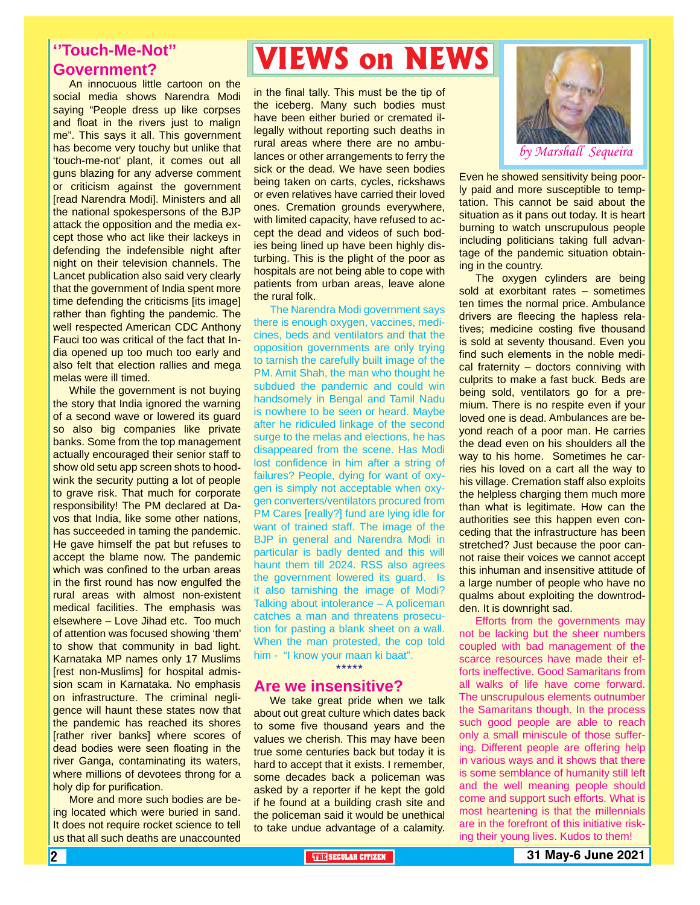#### **''Touch-Me-Not'' Government?**

An innocuous little cartoon on the social media shows Narendra Modi saying "People dress up like corpses and float in the rivers just to malign me". This says it all. This government has become very touchy but unlike that 'touch-me-not' plant, it comes out all guns blazing for any adverse comment or criticism against the government [read Narendra Modi]. Ministers and all the national spokespersons of the BJP attack the opposition and the media except those who act like their lackeys in defending the indefensible night after night on their television channels. The Lancet publication also said very clearly that the government of India spent more time defending the criticisms [its image] rather than fighting the pandemic. The well respected American CDC Anthony Fauci too was critical of the fact that India opened up too much too early and also felt that election rallies and mega melas were ill timed.

While the government is not buying the story that India ignored the warning of a second wave or lowered its guard so also big companies like private banks. Some from the top management actually encouraged their senior staff to show old setu app screen shots to hoodwink the security putting a lot of people to grave risk. That much for corporate responsibility! The PM declared at Davos that India, like some other nations, has succeeded in taming the pandemic. He gave himself the pat but refuses to accept the blame now. The pandemic which was confined to the urban areas in the first round has now engulfed the rural areas with almost non-existent medical facilities. The emphasis was elsewhere – Love Jihad etc. Too much of attention was focused showing 'them' to show that community in bad light. Karnataka MP names only 17 Muslims [rest non-Muslims] for hospital admission scam in Karnataka. No emphasis on infrastructure. The criminal negligence will haunt these states now that the pandemic has reached its shores [rather river banks] where scores of dead bodies were seen floating in the river Ganga, contaminating its waters, where millions of devotees throng for a holy dip for purification.

More and more such bodies are being located which were buried in sand. It does not require rocket science to tell us that all such deaths are unaccounted

# **VIEWS on NEWS**

in the final tally. This must be the tip of the iceberg. Many such bodies must have been either buried or cremated illegally without reporting such deaths in rural areas where there are no ambulances or other arrangements to ferry the sick or the dead. We have seen bodies being taken on carts, cycles, rickshaws or even relatives have carried their loved ones. Cremation grounds everywhere, with limited capacity, have refused to accept the dead and videos of such bodies being lined up have been highly disturbing. This is the plight of the poor as hospitals are not being able to cope with patients from urban areas, leave alone the rural folk.

The Narendra Modi government says there is enough oxygen, vaccines, medicines, beds and ventilators and that the opposition governments are only trying to tarnish the carefully built image of the PM. Amit Shah, the man who thought he subdued the pandemic and could win handsomely in Bengal and Tamil Nadu is nowhere to be seen or heard. Maybe after he ridiculed linkage of the second surge to the melas and elections, he has disappeared from the scene. Has Modi lost confidence in him after a string of failures? People, dying for want of oxygen is simply not acceptable when oxygen converters/ventilators procured from PM Cares [really?] fund are lying idle for want of trained staff. The image of the BJP in general and Narendra Modi in particular is badly dented and this will haunt them till 2024. RSS also agrees the government lowered its guard. Is it also tarnishing the image of Modi? Talking about intolerance – A policeman catches a man and threatens prosecution for pasting a blank sheet on a wall. When the man protested, the cop told him - "I know your maan ki baat". \*\*\*\*\*

#### **Are we insensitive?**

We take great pride when we talk about out great culture which dates back to some five thousand years and the values we cherish. This may have been true some centuries back but today it is hard to accept that it exists. I remember, some decades back a policeman was asked by a reporter if he kept the gold if he found at a building crash site and the policeman said it would be unethical to take undue advantage of a calamity.



Even he showed sensitivity being poorly paid and more susceptible to temptation. This cannot be said about the situation as it pans out today. It is heart burning to watch unscrupulous people including politicians taking full advantage of the pandemic situation obtaining in the country.

The oxygen cylinders are being sold at exorbitant rates – sometimes ten times the normal price. Ambulance drivers are fleecing the hapless relatives; medicine costing five thousand is sold at seventy thousand. Even you find such elements in the noble medical fraternity – doctors conniving with culprits to make a fast buck. Beds are being sold, ventilators go for a premium. There is no respite even if your loved one is dead. Ambulances are beyond reach of a poor man. He carries the dead even on his shoulders all the way to his home. Sometimes he carries his loved on a cart all the way to his village. Cremation staff also exploits the helpless charging them much more than what is legitimate. How can the authorities see this happen even conceding that the infrastructure has been stretched? Just because the poor cannot raise their voices we cannot accept this inhuman and insensitive attitude of a large number of people who have no qualms about exploiting the downtrodden. It is downright sad.

are in the forefront of this initiative risk-<br>ing their young lives. Kudos to them! Efforts from the governments may not be lacking but the sheer numbers coupled with bad management of the scarce resources have made their efforts ineffective. Good Samaritans from all walks of life have come forward. The unscrupulous elements outnumber the Samaritans though. In the process such good people are able to reach only a small miniscule of those suffering. Different people are offering help in various ways and it shows that there is some semblance of humanity still left and the well meaning people should come and support such efforts. What is most heartening is that the millennials ing their young lives. Kudos to them!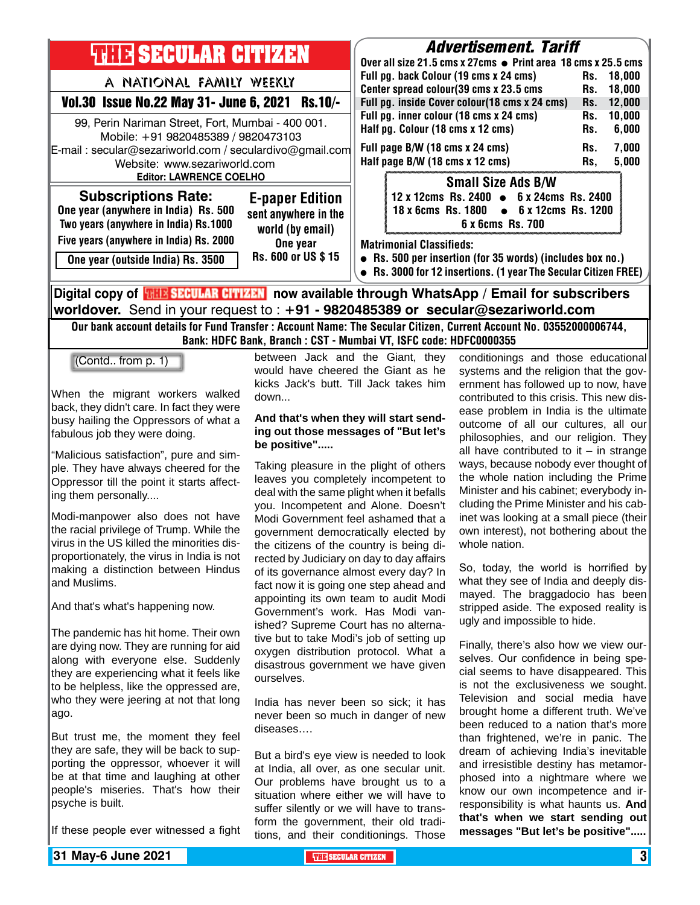

Our bank account details for Fund Transfer : Account Name: The Secular Citizen, Current Account No. 03552000006744, Bank: HDFC Bank, Branch : CST - Mumbai VT, ISFC code: HDFC0000355

(Contd.. from p. 1)

When the migrant workers walked back, they didn't care. In fact they were busy hailing the Oppressors of what a fabulous job they were doing.

"Malicious satisfaction", pure and simple. They have always cheered for the Oppressor till the point it starts affecting them personally....

Modi-manpower also does not have the racial privilege of Trump. While the virus in the US killed the minorities disproportionately, the virus in India is not making a distinction between Hindus and Muslims.

And that's what's happening now.

The pandemic has hit home. Their own are dying now. They are running for aid along with everyone else. Suddenly they are experiencing what it feels like to be helpless, like the oppressed are, who they were jeering at not that long ago.

But trust me, the moment they feel they are safe, they will be back to supporting the oppressor, whoever it will be at that time and laughing at other people's miseries. That's how their psyche is built.

If these people ever witnessed a fight

between Jack and the Giant, they would have cheered the Giant as he kicks Jack's butt. Till Jack takes him down...

#### **And that's when they will start sending out those messages of "But let's be positive".....**

Taking pleasure in the plight of others leaves you completely incompetent to deal with the same plight when it befalls you. Incompetent and Alone. Doesn't Modi Government feel ashamed that a government democratically elected by the citizens of the country is being directed by Judiciary on day to day affairs of its governance almost every day? In fact now it is going one step ahead and appointing its own team to audit Modi Government's work. Has Modi vanished? Supreme Court has no alternative but to take Modi's job of setting up oxygen distribution protocol. What a disastrous government we have given ourselves.

India has never been so sick; it has never been so much in danger of new diseases….

But a bird's eye view is needed to look at India, all over, as one secular unit. Our problems have brought us to a situation where either we will have to suffer silently or we will have to transform the government, their old traditions, and their conditionings. Those

conditionings and those educational systems and the religion that the government has followed up to now, have contributed to this crisis. This new disease problem in India is the ultimate outcome of all our cultures, all our philosophies, and our religion. They all have contributed to it  $-$  in strange ways, because nobody ever thought of the whole nation including the Prime Minister and his cabinet; everybody including the Prime Minister and his cabinet was looking at a small piece (their own interest), not bothering about the whole nation

So, today, the world is horrified by what they see of India and deeply dismayed. The braggadocio has been stripped aside. The exposed reality is ugly and impossible to hide.

Finally, there's also how we view ourselves. Our confidence in being special seems to have disappeared. This is not the exclusiveness we sought. Television and social media have brought home a different truth. We've been reduced to a nation that's more than frightened, we're in panic. The dream of achieving India's inevitable and irresistible destiny has metamorphosed into a nightmare where we know our own incompetence and irresponsibility is what haunts us. **And that's when we start sending out messages "But let's be positive".....**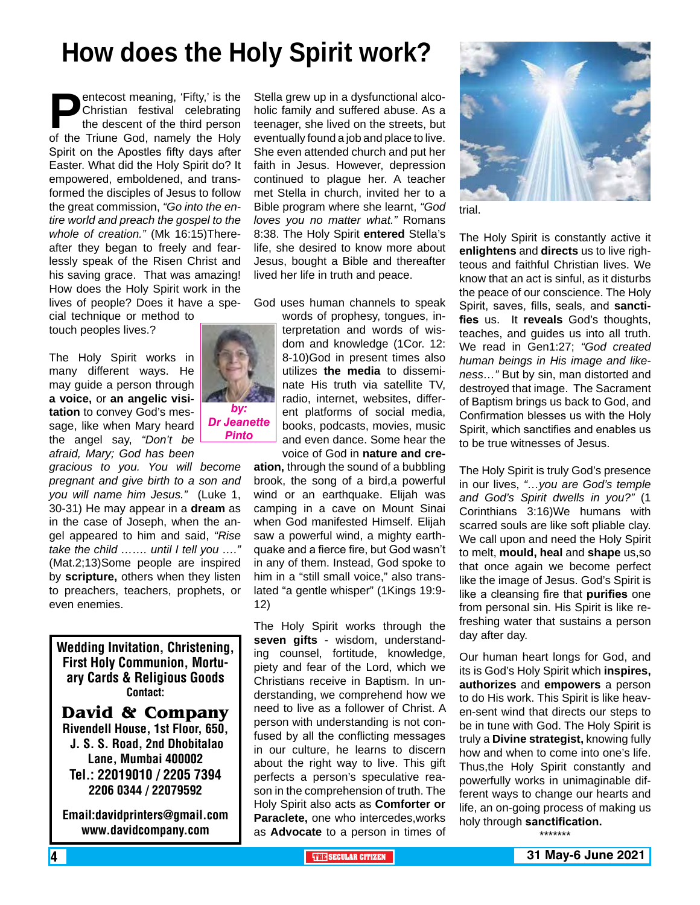# **How does the Holy Spirit work?**

**Pentecost meaning, 'Fifty,' is the Christian festival celebrating the descent of the third person of the Triune God, namely the Holy** Christian festival celebrating the descent of the third person Spirit on the Apostles fifty days after Easter. What did the Holy Spirit do? It empowered, emboldened, and transformed the disciples of Jesus to follow the great commission, *"Go into the entire world and preach the gospel to the whole of creation."* (Mk 16:15)Thereafter they began to freely and fearlessly speak of the Risen Christ and his saving grace. That was amazing! How does the Holy Spirit work in the lives of people? Does it have a special technique or method to

touch peoples lives.?

The Holy Spirit works in many different ways. He may guide a person through **a voice,** or **an angelic visitation** to convey God's message, like when Mary heard the angel say, *"Don't be afraid, Mary; God has been* 

*gracious to you. You will become pregnant and give birth to a son and you will name him Jesus."* (Luke 1, 30-31) He may appear in a **dream** as in the case of Joseph, when the angel appeared to him and said, *"Rise take the child ……. until I tell you …."* (Mat.2;13)Some people are inspired by **scripture,** others when they listen to preachers, teachers, prophets, or even enemies.

Wedding Invitation, Christening, First Holy Communion, Mortuary Cards & Religious Goods Contact:

**David & Company** Rivendell House, 1st Floor, 650, J. S. S. Road, 2nd Dhobitalao Lane, Mumbai 400002 Tel.: 22019010 / 2205 7394 2206 0344 / 22079592

Email:davidprinters@gmail.com www.davidcompany.com

Stella grew up in a dysfunctional alcoholic family and suffered abuse. As a teenager, she lived on the streets, but eventually found a job and place to live. She even attended church and put her faith in Jesus. However, depression continued to plague her. A teacher met Stella in church, invited her to a Bible program where she learnt, *"God loves you no matter what."* Romans 8:38. The Holy Spirit **entered** Stella's life, she desired to know more about Jesus, bought a Bible and thereafter lived her life in truth and peace.

God uses human channels to speak

words of prophesy, tongues, interpretation and words of wisdom and knowledge (1Cor. 12: 8-10)God in present times also utilizes **the media** to disseminate His truth via satellite TV, radio, internet, websites, different platforms of social media, books, podcasts, movies, music and even dance. Some hear the voice of God in **nature and cre-**

**ation,** through the sound of a bubbling brook, the song of a bird,a powerful wind or an earthquake. Elijah was camping in a cave on Mount Sinai when God manifested Himself. Elijah saw a powerful wind, a mighty earthquake and a fierce fire, but God wasn't in any of them. Instead, God spoke to him in a "still small voice," also translated "a gentle whisper" (1Kings 19:9- 12)

The Holy Spirit works through the **seven gifts** - wisdom, understanding counsel, fortitude, knowledge, piety and fear of the Lord, which we Christians receive in Baptism. In understanding, we comprehend how we need to live as a follower of Christ. A person with understanding is not confused by all the conflicting messages in our culture, he learns to discern about the right way to live. This gift perfects a person's speculative reason in the comprehension of truth. The Holy Spirit also acts as **Comforter or Paraclete,** one who intercedes,works as **Advocate** to a person in times of



trial.

The Holy Spirit is constantly active it **enlightens** and **directs** us to live righteous and faithful Christian lives. We know that an act is sinful, as it disturbs the peace of our conscience. The Holy Spirit, saves, fills, seals, and **sanctifies** us. It **reveals** God's thoughts, teaches, and guides us into all truth. We read in Gen1:27; *"God created human beings in His image and likeness…"* But by sin, man distorted and destroyed that image. The Sacrament of Baptism brings us back to God, and Confirmation blesses us with the Holy Spirit, which sanctifies and enables us to be true witnesses of Jesus.

The Holy Spirit is truly God's presence in our lives, *"…you are God's temple and God's Spirit dwells in you?"* (1 Corinthians 3:16)We humans with scarred souls are like soft pliable clay. We call upon and need the Holy Spirit to melt, **mould, heal** and **shape** us,so that once again we become perfect like the image of Jesus. God's Spirit is like a cleansing fire that **purifies** one from personal sin. His Spirit is like refreshing water that sustains a person day after day.

Our human heart longs for God, and its is God's Holy Spirit which **inspires, authorizes** and **empowers** a person to do His work. This Spirit is like heaven-sent wind that directs our steps to be in tune with God. The Holy Spirit is truly a **Divine strategist,** knowing fully how and when to come into one's life. Thus,the Holy Spirit constantly and powerfully works in unimaginable different ways to change our hearts and life, an on-going process of making us holy through **sanctification.**

\*\*\*\*\*\*\*

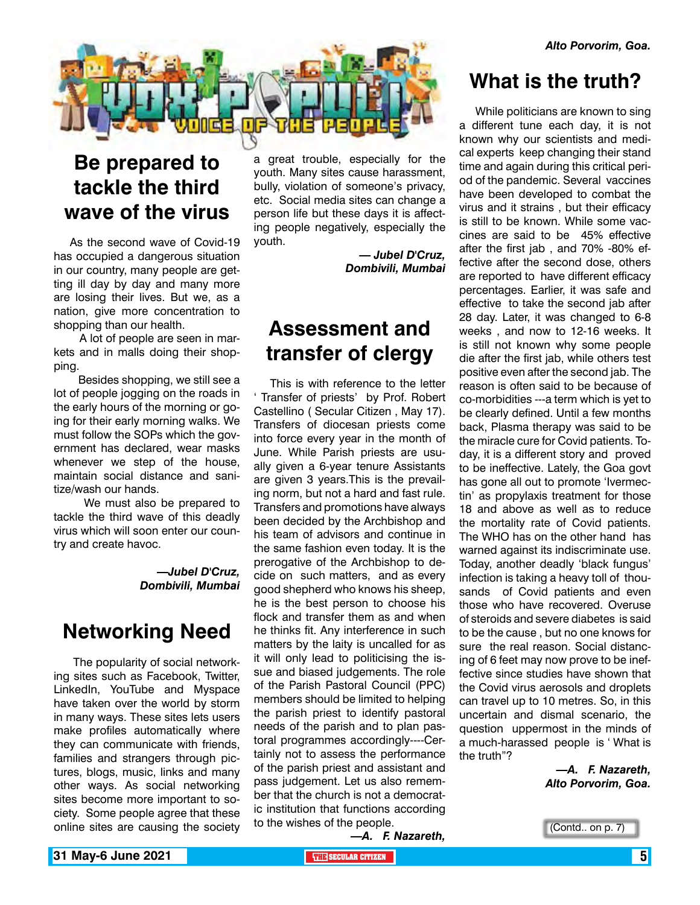

# **Be prepared to tackle the third wave of the virus**

As the second wave of Covid-19 has occupied a dangerous situation in our country, many people are getting ill day by day and many more are losing their lives. But we, as a nation, give more concentration to shopping than our health.

 A lot of people are seen in markets and in malls doing their shopping.

 Besides shopping, we still see a lot of people jogging on the roads in the early hours of the morning or going for their early morning walks. We must follow the SOPs which the government has declared, wear masks whenever we step of the house, maintain social distance and sanitize/wash our hands.

 We must also be prepared to tackle the third wave of this deadly virus which will soon enter our country and create havoc.

> *—Jubel D'Cruz, Dombivili, Mumbai*

### **Networking Need**

 The popularity of social networking sites such as Facebook, Twitter, LinkedIn, YouTube and Myspace have taken over the world by storm in many ways. These sites lets users make profiles automatically where they can communicate with friends, families and strangers through pictures, blogs, music, links and many other ways. As social networking sites become more important to society. Some people agree that these online sites are causing the society

a great trouble, especially for the youth. Many sites cause harassment, bully, violation of someone's privacy, etc. Social media sites can change a person life but these days it is affecting people negatively, especially the youth.

> *— Jubel D'Cruz, Dombivili, Mumbai*

## **Assessment and transfer of clergy**

This is with reference to the letter ' Transfer of priests' by Prof. Robert Castellino ( Secular Citizen , May 17). Transfers of diocesan priests come into force every year in the month of June. While Parish priests are usually given a 6-year tenure Assistants are given 3 years.This is the prevailing norm, but not a hard and fast rule. Transfers and promotions have always been decided by the Archbishop and his team of advisors and continue in the same fashion even today. It is the prerogative of the Archbishop to decide on such matters, and as every good shepherd who knows his sheep, he is the best person to choose his flock and transfer them as and when he thinks fit. Any interference in such matters by the laity is uncalled for as it will only lead to politicising the issue and biased judgements. The role of the Parish Pastoral Council (PPC) members should be limited to helping the parish priest to identify pastoral needs of the parish and to plan pastoral programmes accordingly----Certainly not to assess the performance of the parish priest and assistant and pass judgement. Let us also remember that the church is not a democratic institution that functions according to the wishes of the people.

### **What is the truth?**

While politicians are known to sing a different tune each day, it is not known why our scientists and medical experts keep changing their stand time and again during this critical period of the pandemic. Several vaccines have been developed to combat the virus and it strains , but their efficacy is still to be known. While some vaccines are said to be 45% effective after the first jab , and 70% -80% effective after the second dose, others are reported to have different efficacy percentages. Earlier, it was safe and effective to take the second jab after 28 day. Later, it was changed to 6-8 weeks , and now to 12-16 weeks. It is still not known why some people die after the first jab, while others test positive even after the second jab. The reason is often said to be because of co-morbidities ---a term which is yet to be clearly defined. Until a few months back, Plasma therapy was said to be the miracle cure for Covid patients. Today, it is a different story and proved to be ineffective. Lately, the Goa govt has gone all out to promote 'Ivermectin' as propylaxis treatment for those 18 and above as well as to reduce the mortality rate of Covid patients. The WHO has on the other hand has warned against its indiscriminate use. Today, another deadly 'black fungus' infection is taking a heavy toll of thousands of Covid patients and even those who have recovered. Overuse of steroids and severe diabetes is said to be the cause , but no one knows for sure the real reason. Social distancing of 6 feet may now prove to be ineffective since studies have shown that the Covid virus aerosols and droplets can travel up to 10 metres. So, in this uncertain and dismal scenario, the question uppermost in the minds of a much-harassed people is ' What is the truth"?

> *—A. F. Nazareth, Alto Porvorim, Goa.*

*—A. F. Nazareth,*

(Contd.. on p. 7)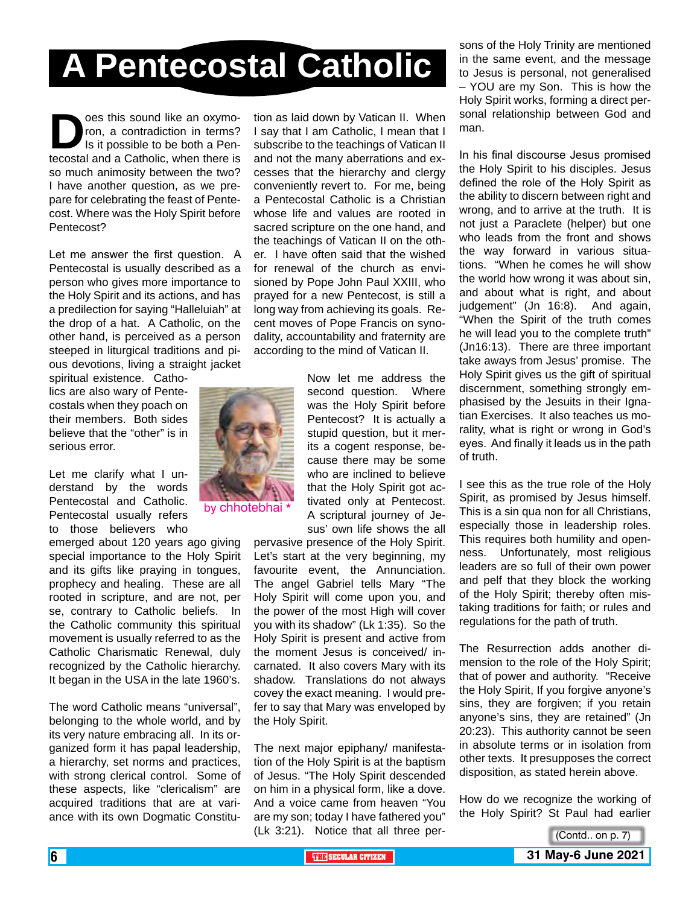# **A Pentecostal Catholic**

**Does this sound like an oxymo-<br>ron, a contradiction in terms?<br>Is it possible to be both a Pen-<br>tecostal and a Catholic. when there is** ron, a contradiction in terms? Is it possible to be both a Pentecostal and a Catholic, when there is so much animosity between the two? I have another question, as we prepare for celebrating the feast of Pentecost. Where was the Holy Spirit before Pentecost?

Let me answer the first question. A Pentecostal is usually described as a person who gives more importance to the Holy Spirit and its actions, and has a predilection for saying "Halleluiah" at the drop of a hat. A Catholic, on the other hand, is perceived as a person steeped in liturgical traditions and pious devotions, living a straight jacket

spiritual existence. Catholics are also wary of Pentecostals when they poach on their members. Both sides believe that the "other" is in serious error.

Let me clarify what I understand by the words Pentecostal and Catholic. Pentecostal usually refers to those believers who

emerged about 120 years ago giving special importance to the Holy Spirit and its gifts like praying in tongues, prophecy and healing. These are all rooted in scripture, and are not, per se, contrary to Catholic beliefs. In the Catholic community this spiritual movement is usually referred to as the Catholic Charismatic Renewal, duly recognized by the Catholic hierarchy. It began in the USA in the late 1960's.

The word Catholic means "universal", belonging to the whole world, and by its very nature embracing all. In its organized form it has papal leadership, a hierarchy, set norms and practices, with strong clerical control. Some of these aspects, like "clericalism" are acquired traditions that are at variance with its own Dogmatic Constitu-

tion as laid down by Vatican II. When I say that I am Catholic, I mean that I subscribe to the teachings of Vatican II and not the many aberrations and excesses that the hierarchy and clergy conveniently revert to. For me, being a Pentecostal Catholic is a Christian whose life and values are rooted in sacred scripture on the one hand, and the teachings of Vatican II on the other. I have often said that the wished for renewal of the church as envisioned by Pope John Paul XXIII, who prayed for a new Pentecost, is still a long way from achieving its goals. Recent moves of Pope Francis on synodality, accountability and fraternity are according to the mind of Vatican II.



by chhotebhai

Now let me address the second question. Where was the Holy Spirit before Pentecost? It is actually a stupid question, but it merits a cogent response, because there may be some who are inclined to believe that the Holy Spirit got activated only at Pentecost. A scriptural journey of Jesus' own life shows the all

pervasive presence of the Holy Spirit. Let's start at the very beginning, my favourite event, the Annunciation. The angel Gabriel tells Mary "The Holy Spirit will come upon you, and the power of the most High will cover you with its shadow" (Lk 1:35). So the Holy Spirit is present and active from the moment Jesus is conceived/ incarnated. It also covers Mary with its shadow. Translations do not always covey the exact meaning. I would prefer to say that Mary was enveloped by the Holy Spirit.

The next major epiphany/ manifestation of the Holy Spirit is at the baptism of Jesus. "The Holy Spirit descended on him in a physical form, like a dove. And a voice came from heaven "You are my son; today I have fathered you" (Lk 3:21). Notice that all three per-

sons of the Holy Trinity are mentioned in the same event, and the message to Jesus is personal, not generalised – YOU are my Son. This is how the Holy Spirit works, forming a direct personal relationship between God and man.

In his final discourse Jesus promised the Holy Spirit to his disciples. Jesus defined the role of the Holy Spirit as the ability to discern between right and wrong, and to arrive at the truth. It is not just a Paraclete (helper) but one who leads from the front and shows the way forward in various situations. "When he comes he will show the world how wrong it was about sin, and about what is right, and about judgement" (Jn 16:8). And again, "When the Spirit of the truth comes he will lead you to the complete truth" (Jn16:13). There are three important take aways from Jesus' promise. The Holy Spirit gives us the gift of spiritual discernment, something strongly emphasised by the Jesuits in their Ignatian Exercises. It also teaches us morality, what is right or wrong in God's eyes. And finally it leads us in the path of truth.

I see this as the true role of the Holy Spirit, as promised by Jesus himself. This is a sin qua non for all Christians, especially those in leadership roles. This requires both humility and openness. Unfortunately, most religious leaders are so full of their own power and pelf that they block the working of the Holy Spirit; thereby often mistaking traditions for faith; or rules and regulations for the path of truth.

The Resurrection adds another dimension to the role of the Holy Spirit; that of power and authority. "Receive the Holy Spirit, If you forgive anyone's sins, they are forgiven; if you retain anyone's sins, they are retained" (Jn 20:23). This authority cannot be seen in absolute terms or in isolation from other texts. It presupposes the correct disposition, as stated herein above.

How do we recognize the working of the Holy Spirit? St Paul had earlier

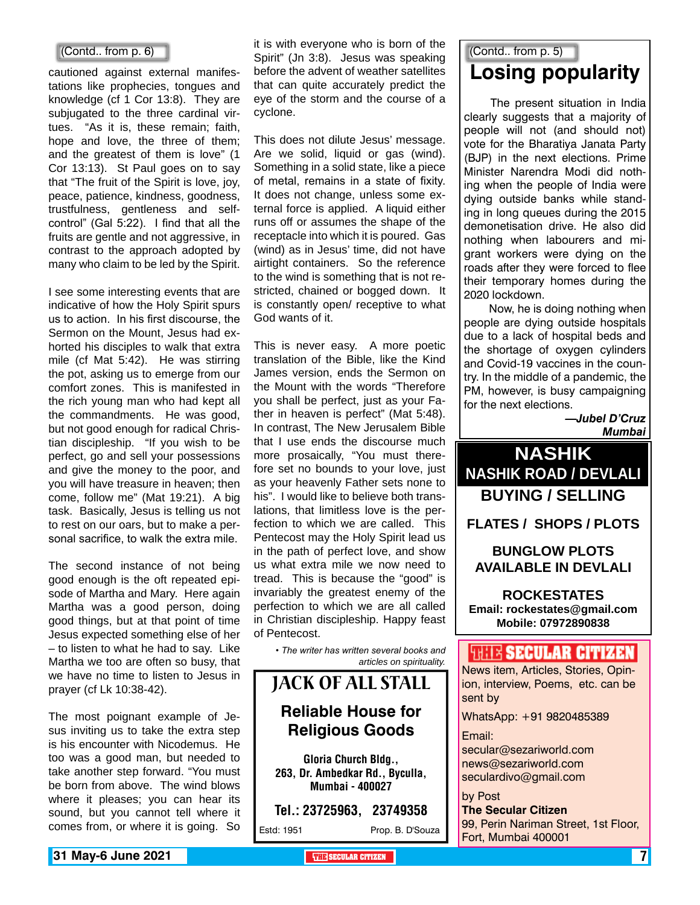#### (Contd.. from p. 6)

cautioned against external manifestations like prophecies, tongues and knowledge (cf 1 Cor 13:8). They are subjugated to the three cardinal virtues. "As it is, these remain; faith, hope and love, the three of them; and the greatest of them is love" (1 Cor 13:13). St Paul goes on to say that "The fruit of the Spirit is love, joy, peace, patience, kindness, goodness, trustfulness, gentleness and selfcontrol" (Gal 5:22). I find that all the fruits are gentle and not aggressive, in contrast to the approach adopted by many who claim to be led by the Spirit.

I see some interesting events that are indicative of how the Holy Spirit spurs us to action. In his first discourse, the Sermon on the Mount, Jesus had exhorted his disciples to walk that extra mile (cf Mat 5:42). He was stirring the pot, asking us to emerge from our comfort zones. This is manifested in the rich young man who had kept all the commandments. He was good, but not good enough for radical Christian discipleship. "If you wish to be perfect, go and sell your possessions and give the money to the poor, and you will have treasure in heaven; then come, follow me" (Mat 19:21). A big task. Basically, Jesus is telling us not to rest on our oars, but to make a personal sacrifice, to walk the extra mile.

The second instance of not being good enough is the oft repeated episode of Martha and Mary. Here again Martha was a good person, doing good things, but at that point of time Jesus expected something else of her – to listen to what he had to say. Like Martha we too are often so busy, that we have no time to listen to Jesus in prayer (cf Lk 10:38-42).

The most poignant example of Jesus inviting us to take the extra step is his encounter with Nicodemus. He too was a good man, but needed to take another step forward. "You must be born from above. The wind blows where it pleases; you can hear its sound, but you cannot tell where it comes from, or where it is going. So

it is with everyone who is born of the Spirit" (Jn 3:8). Jesus was speaking before the advent of weather satellites that can quite accurately predict the eye of the storm and the course of a cyclone.

This does not dilute Jesus' message. Are we solid, liquid or gas (wind). Something in a solid state, like a piece of metal, remains in a state of fixity. It does not change, unless some external force is applied. A liquid either runs off or assumes the shape of the receptacle into which it is poured. Gas (wind) as in Jesus' time, did not have airtight containers. So the reference to the wind is something that is not restricted, chained or bogged down. It is constantly open/ receptive to what God wants of it.

This is never easy. A more poetic translation of the Bible, like the Kind James version, ends the Sermon on the Mount with the words "Therefore you shall be perfect, just as your Father in heaven is perfect" (Mat 5:48). In contrast, The New Jerusalem Bible that I use ends the discourse much more prosaically, "You must therefore set no bounds to your love, just as your heavenly Father sets none to his". I would like to believe both translations, that limitless love is the perfection to which we are called. This Pentecost may the Holy Spirit lead us in the path of perfect love, and show us what extra mile we now need to tread. This is because the "good" is invariably the greatest enemy of the perfection to which we are all called in Christian discipleship. Happy feast of Pentecost.

> *• The writer has written several books and articles on spirituality.*

### Jack of All Stall **Reliable House for Religious Goods**

Gloria Church Bldg., 263, Dr. Ambedkar Rd., Byculla, Mumbai - 400027

Tel.: 23725963, 23749358

Estd: 1951 Prop. B. D'Souza

### (Contd.. from p. 5)

## **Losing popularity**

 The present situation in India clearly suggests that a majority of people will not (and should not) vote for the Bharatiya Janata Party (BJP) in the next elections. Prime Minister Narendra Modi did nothing when the people of India were dying outside banks while standing in long queues during the 2015 demonetisation drive. He also did nothing when labourers and migrant workers were dying on the roads after they were forced to flee their temporary homes during the 2020 lockdown.

 Now, he is doing nothing when people are dying outside hospitals due to a lack of hospital beds and the shortage of oxygen cylinders and Covid-19 vaccines in the country. In the middle of a pandemic, the PM, however, is busy campaigning for the next elections.

> *—Jubel D'Cruz Mumbai*



#### **Bunglow Plots Available in Devlali**

**Rockestates Email: rockestates@gmail.com Mobile: 07972890838**

#### **WEIR SECULAR CITIZER**

News item, Articles, Stories, Opinion, interview, Poems, etc. can be sent by

WhatsApp: +91 9820485389

Email:

secular@sezariworld.com news@sezariworld.com seculardivo@gmail.com

#### by Post

**The Secular Citizen** 99, Perin Nariman Street, 1st Floor, Fort, Mumbai 400001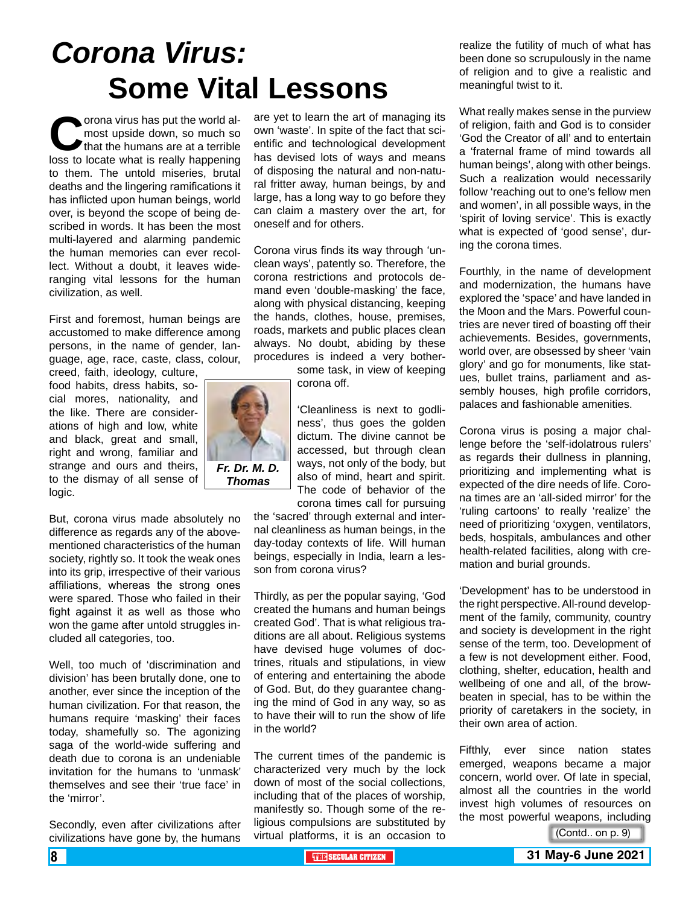# *Corona Virus:* **Some Vital Lessons**

**Corona virus has put the world almost upside down, so much so that the humans are at a terrible loss to locate what is really happening** most upside down, so much so that the humans are at a terrible to them. The untold miseries, brutal deaths and the lingering ramifications it has inflicted upon human beings, world over, is beyond the scope of being described in words. It has been the most multi-layered and alarming pandemic the human memories can ever recollect. Without a doubt, it leaves wideranging vital lessons for the human civilization, as well.

First and foremost, human beings are accustomed to make difference among persons, in the name of gender, language, age, race, caste, class, colour, creed, faith, ideology, culture,

food habits, dress habits, social mores, nationality, and the like. There are considerations of high and low, white and black, great and small, right and wrong, familiar and strange and ours and theirs, to the dismay of all sense of logic.

But, corona virus made absolutely no difference as regards any of the abovementioned characteristics of the human society, rightly so. It took the weak ones into its grip, irrespective of their various affiliations, whereas the strong ones were spared. Those who failed in their fight against it as well as those who won the game after untold struggles included all categories, too.

Well, too much of 'discrimination and division' has been brutally done, one to another, ever since the inception of the human civilization. For that reason, the humans require 'masking' their faces today, shamefully so. The agonizing saga of the world-wide suffering and death due to corona is an undeniable invitation for the humans to 'unmask' themselves and see their 'true face' in the 'mirror'.

Secondly, even after civilizations after civilizations have gone by, the humans

are yet to learn the art of managing its own 'waste'. In spite of the fact that scientific and technological development has devised lots of ways and means of disposing the natural and non-natural fritter away, human beings, by and large, has a long way to go before they can claim a mastery over the art, for oneself and for others.

Corona virus finds its way through 'unclean ways', patently so. Therefore, the corona restrictions and protocols demand even 'double-masking' the face, along with physical distancing, keeping the hands, clothes, house, premises, roads, markets and public places clean always. No doubt, abiding by these procedures is indeed a very bother-

> some task, in view of keeping corona off.

'Cleanliness is next to godliness', thus goes the golden dictum. The divine cannot be accessed, but through clean ways, not only of the body, but also of mind, heart and spirit. The code of behavior of the corona times call for pursuing

the 'sacred' through external and internal cleanliness as human beings, in the day-today contexts of life. Will human beings, especially in India, learn a lesson from corona virus?

Thirdly, as per the popular saying, 'God created the humans and human beings created God'. That is what religious traditions are all about. Religious systems have devised huge volumes of doctrines, rituals and stipulations, in view of entering and entertaining the abode of God. But, do they guarantee changing the mind of God in any way, so as to have their will to run the show of life in the world?

The current times of the pandemic is characterized very much by the lock down of most of the social collections, including that of the places of worship, manifestly so. Though some of the religious compulsions are substituted by virtual platforms, it is an occasion to

realize the futility of much of what has been done so scrupulously in the name of religion and to give a realistic and meaningful twist to it.

What really makes sense in the purview of religion, faith and God is to consider 'God the Creator of all' and to entertain a 'fraternal frame of mind towards all human beings', along with other beings. Such a realization would necessarily follow 'reaching out to one's fellow men and women', in all possible ways, in the 'spirit of loving service'. This is exactly what is expected of 'good sense', during the corona times.

Fourthly, in the name of development and modernization, the humans have explored the 'space' and have landed in the Moon and the Mars. Powerful countries are never tired of boasting off their achievements. Besides, governments, world over, are obsessed by sheer 'vain glory' and go for monuments, like statues, bullet trains, parliament and assembly houses, high profile corridors, palaces and fashionable amenities.

Corona virus is posing a major challenge before the 'self-idolatrous rulers' as regards their dullness in planning, prioritizing and implementing what is expected of the dire needs of life. Corona times are an 'all-sided mirror' for the 'ruling cartoons' to really 'realize' the need of prioritizing 'oxygen, ventilators, beds, hospitals, ambulances and other health-related facilities, along with cremation and burial grounds.

'Development' has to be understood in the right perspective. All-round development of the family, community, country and society is development in the right sense of the term, too. Development of a few is not development either. Food, clothing, shelter, education, health and wellbeing of one and all, of the browbeaten in special, has to be within the priority of caretakers in the society, in their own area of action.

Fifthly, ever since nation states emerged, weapons became a major concern, world over. Of late in special, almost all the countries in the world invest high volumes of resources on the most powerful weapons, including

(Contd.. on p. 9)

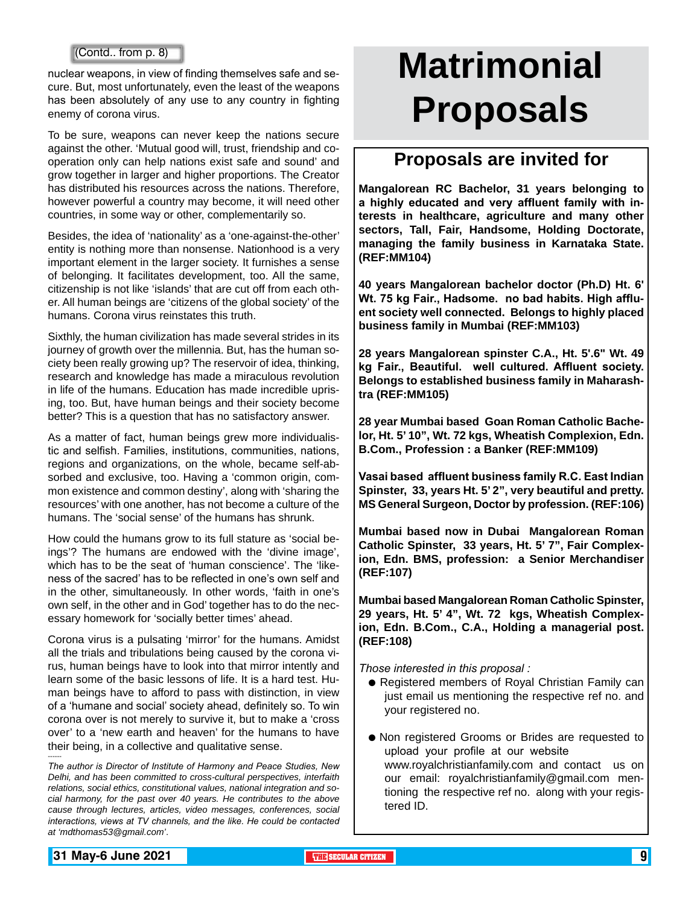nuclear weapons, in view of finding themselves safe and secure. But, most unfortunately, even the least of the weapons has been absolutely of any use to any country in fighting enemy of corona virus.

To be sure, weapons can never keep the nations secure against the other. 'Mutual good will, trust, friendship and cooperation only can help nations exist safe and sound' and grow together in larger and higher proportions. The Creator has distributed his resources across the nations. Therefore, however powerful a country may become, it will need other countries, in some way or other, complementarily so.

Besides, the idea of 'nationality' as a 'one-against-the-other' entity is nothing more than nonsense. Nationhood is a very important element in the larger society. It furnishes a sense of belonging. It facilitates development, too. All the same, citizenship is not like 'islands' that are cut off from each other. All human beings are 'citizens of the global society' of the humans. Corona virus reinstates this truth.

Sixthly, the human civilization has made several strides in its journey of growth over the millennia. But, has the human society been really growing up? The reservoir of idea, thinking, research and knowledge has made a miraculous revolution in life of the humans. Education has made incredible uprising, too. But, have human beings and their society become better? This is a question that has no satisfactory answer.

As a matter of fact, human beings grew more individualistic and selfish. Families, institutions, communities, nations, regions and organizations, on the whole, became self-absorbed and exclusive, too. Having a 'common origin, common existence and common destiny', along with 'sharing the resources' with one another, has not become a culture of the humans. The 'social sense' of the humans has shrunk.

How could the humans grow to its full stature as 'social beings'? The humans are endowed with the 'divine image', which has to be the seat of 'human conscience'. The 'likeness of the sacred' has to be reflected in one's own self and in the other, simultaneously. In other words, 'faith in one's own self, in the other and in God' together has to do the necessary homework for 'socially better times' ahead.

Corona virus is a pulsating 'mirror' for the humans. Amidst all the trials and tribulations being caused by the corona virus, human beings have to look into that mirror intently and learn some of the basic lessons of life. It is a hard test. Human beings have to afford to pass with distinction, in view of a 'humane and social' society ahead, definitely so. To win corona over is not merely to survive it, but to make a 'cross over' to a 'new earth and heaven' for the humans to have their being, in a collective and qualitative sense.

*The author is Director of Institute of Harmony and Peace Studies, New Delhi, and has been committed to cross-cultural perspectives, interfaith relations, social ethics, constitutional values, national integration and social harmony, for the past over 40 years. He contributes to the above cause through lectures, articles, video messages, conferences, social interactions, views at TV channels, and the like. He could be contacted at 'mdthomas53@gmail.com'*.

# **Matrimonial Proposals**

### **Proposals are invited for**

**Mangalorean RC Bachelor, 31 years belonging to a highly educated and very affluent family with interests in healthcare, agriculture and many other sectors, Tall, Fair, Handsome, Holding Doctorate, managing the family business in Karnataka State. (REF:MM104)**

**40 years Mangalorean bachelor doctor (Ph.D) Ht. 6' Wt. 75 kg Fair., Hadsome. no bad habits. High affluent society well connected. Belongs to highly placed business family in Mumbai (REF:MM103)**

**28 years Mangalorean spinster C.A., Ht. 5'.6" Wt. 49 kg Fair., Beautiful. well cultured. Affluent society. Belongs to established business family in Maharashtra (REF:MM105)**

**28 year Mumbai based Goan Roman Catholic Bachelor, Ht. 5' 10", Wt. 72 kgs, Wheatish Complexion, Edn. B.Com., Profession : a Banker (REF:MM109)**

**Vasai based affluent business family R.C. East Indian Spinster, 33, years Ht. 5' 2", very beautiful and pretty. MS General Surgeon, Doctor by profession. (REF:106)**

**Mumbai based now in Dubai Mangalorean Roman Catholic Spinster, 33 years, Ht. 5' 7", Fair Complexion, Edn. BMS, profession: a Senior Merchandiser (REF:107)**

**Mumbai based Mangalorean Roman Catholic Spinster, 29 years, Ht. 5' 4", Wt. 72 kgs, Wheatish Complexion, Edn. B.Com., C.A., Holding a managerial post. (REF:108)** 

*Those interested in this proposal :*

- **Registered members of Royal Christian Family can** just email us mentioning the respective ref no. and your registered no.
- Non registered Grooms or Brides are requested to upload your profile at our website www.royalchristianfamily.com and contact us on our email: royalchristianfamily@gmail.com mentioning the respective ref no. along with your registered ID.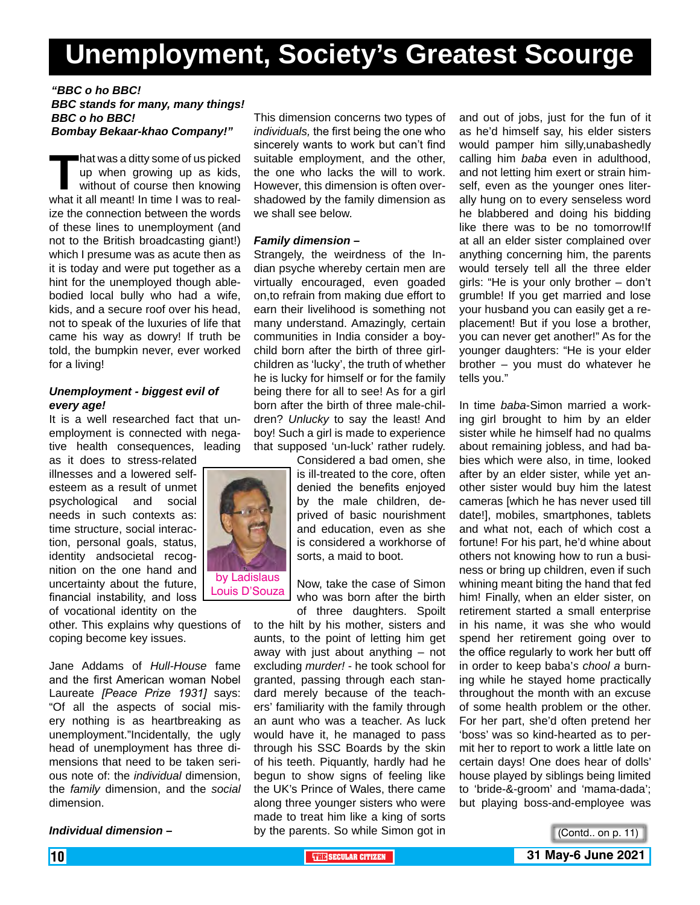# **Unemployment, Society's Greatest Scourge**

#### *"BBC o ho BBC! BBC stands for many, many things! BBC o ho BBC! Bombay Bekaar-khao Company!"*

**That was a ditty some of us picked<br>up when growing up as kids,<br>without of course then knowing<br>what it all meant! In time I was to real**up when growing up as kids, without of course then knowing what it all meant! In time I was to realize the connection between the words of these lines to unemployment (and not to the British broadcasting giant!) which I presume was as acute then as it is today and were put together as a hint for the unemployed though ablebodied local bully who had a wife, kids, and a secure roof over his head, not to speak of the luxuries of life that came his way as dowry! If truth be told, the bumpkin never, ever worked for a living!

#### *Unemployment - biggest evil of every age!*

It is a well researched fact that unemployment is connected with negative health consequences, leading

as it does to stress-related illnesses and a lowered selfesteem as a result of unmet psychological and social needs in such contexts as: time structure, social interaction, personal goals, status, identity andsocietal recognition on the one hand and uncertainty about the future, financial instability, and loss of vocational identity on the

other. This explains why questions of coping become key issues.

Jane Addams of *Hull-House* fame and the first American woman Nobel Laureate *[Peace Prize 1931]* says: "Of all the aspects of social misery nothing is as heartbreaking as unemployment."Incidentally, the ugly head of unemployment has three dimensions that need to be taken serious note of: the *individual* dimension, the *family* dimension, and the *social*  dimension.

*Individual dimension –*

This dimension concerns two types of *individuals,* the first being the one who sincerely wants to work but can't find suitable employment, and the other, the one who lacks the will to work. However, this dimension is often overshadowed by the family dimension as we shall see below.

#### *Family dimension –*

Strangely, the weirdness of the Indian psyche whereby certain men are virtually encouraged, even goaded on,to refrain from making due effort to earn their livelihood is something not many understand. Amazingly, certain communities in India consider a boychild born after the birth of three girlchildren as 'lucky', the truth of whether he is lucky for himself or for the family being there for all to see! As for a girl born after the birth of three male-children? *Unlucky* to say the least! And boy! Such a girl is made to experience that supposed 'un-luck' rather rudely.

Considered a bad omen, she is ill-treated to the core, often denied the benefits enjoyed by the male children, deprived of basic nourishment and education, even as she is considered a workhorse of sorts, a maid to boot.

Now, take the case of Simon who was born after the birth of three daughters. Spoilt

to the hilt by his mother, sisters and aunts, to the point of letting him get away with just about anything – not excluding *murder!* - he took school for granted, passing through each standard merely because of the teachers' familiarity with the family through an aunt who was a teacher. As luck would have it, he managed to pass through his SSC Boards by the skin of his teeth. Piquantly, hardly had he begun to show signs of feeling like the UK's Prince of Wales, there came along three younger sisters who were made to treat him like a king of sorts by the parents. So while Simon got in

and out of jobs, just for the fun of it as he'd himself say, his elder sisters would pamper him silly,unabashedly calling him *baba* even in adulthood, and not letting him exert or strain himself, even as the younger ones literally hung on to every senseless word he blabbered and doing his bidding like there was to be no tomorrow!If at all an elder sister complained over anything concerning him, the parents would tersely tell all the three elder girls: "He is your only brother – don't grumble! If you get married and lose your husband you can easily get a replacement! But if you lose a brother, you can never get another!" As for the younger daughters: "He is your elder brother – you must do whatever he tells you."

In time *baba*-Simon married a working girl brought to him by an elder sister while he himself had no qualms about remaining jobless, and had babies which were also, in time, looked after by an elder sister, while yet another sister would buy him the latest cameras [which he has never used till date!], mobiles, smartphones, tablets and what not, each of which cost a fortune! For his part, he'd whine about others not knowing how to run a business or bring up children, even if such whining meant biting the hand that fed him! Finally, when an elder sister, on retirement started a small enterprise in his name, it was she who would spend her retirement going over to the office regularly to work her butt off in order to keep baba'*s chool a* burning while he stayed home practically throughout the month with an excuse of some health problem or the other. For her part, she'd often pretend her 'boss' was so kind-hearted as to permit her to report to work a little late on certain days! One does hear of dolls' house played by siblings being limited to 'bride-&-groom' and 'mama-dada'; but playing boss-and-employee was





Louis D'Souza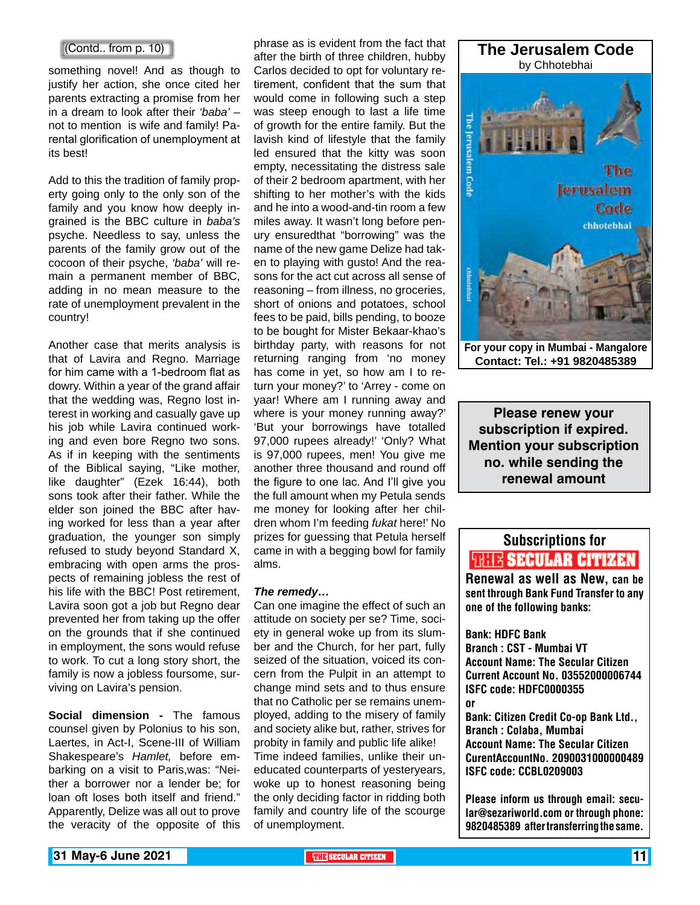#### (Contd.. from p. 10)

something novel! And as though to justify her action, she once cited her parents extracting a promise from her in a dream to look after their *'baba'* – not to mention is wife and family! Parental glorification of unemployment at its best!

Add to this the tradition of family property going only to the only son of the family and you know how deeply ingrained is the BBC culture in *baba's*  psyche. Needless to say, unless the parents of the family grow out of the cocoon of their psyche, *'baba'* will remain a permanent member of BBC, adding in no mean measure to the rate of unemployment prevalent in the country!

Another case that merits analysis is that of Lavira and Regno. Marriage for him came with a 1-bedroom flat as dowry. Within a year of the grand affair that the wedding was, Regno lost interest in working and casually gave up his job while Lavira continued working and even bore Regno two sons. As if in keeping with the sentiments of the Biblical saying, "Like mother, like daughter" (Ezek 16:44), both sons took after their father. While the elder son joined the BBC after having worked for less than a year after graduation, the younger son simply refused to study beyond Standard X, embracing with open arms the prospects of remaining jobless the rest of his life with the BBC! Post retirement, Lavira soon got a job but Regno dear prevented her from taking up the offer on the grounds that if she continued in employment, the sons would refuse to work. To cut a long story short, the family is now a jobless foursome, surviving on Lavira's pension.

**Social dimension -** The famous counsel given by Polonius to his son, Laertes, in Act-I, Scene-III of William Shakespeare's *Hamlet,* before embarking on a visit to Paris,was: "Neither a borrower nor a lender be; for loan oft loses both itself and friend." Apparently, Delize was all out to prove the veracity of the opposite of this

phrase as is evident from the fact that after the birth of three children, hubby Carlos decided to opt for voluntary retirement, confident that the sum that would come in following such a step was steep enough to last a life time of growth for the entire family. But the lavish kind of lifestyle that the family led ensured that the kitty was soon empty, necessitating the distress sale of their 2 bedroom apartment, with her shifting to her mother's with the kids and he into a wood-and-tin room a few miles away. It wasn't long before penury ensuredthat "borrowing" was the name of the new game Delize had taken to playing with gusto! And the reasons for the act cut across all sense of reasoning – from illness, no groceries, short of onions and potatoes, school fees to be paid, bills pending, to booze to be bought for Mister Bekaar-khao's birthday party, with reasons for not returning ranging from 'no money has come in yet, so how am I to return your money?' to 'Arrey - come on yaar! Where am I running away and where is your money running away?' 'But your borrowings have totalled 97,000 rupees already!' 'Only? What is 97,000 rupees, men! You give me another three thousand and round off the figure to one lac. And I'll give you the full amount when my Petula sends me money for looking after her children whom I'm feeding *fukat* here!' No prizes for guessing that Petula herself came in with a begging bowl for family alms.

#### *The remedy…*

Can one imagine the effect of such an attitude on society per se? Time, society in general woke up from its slumber and the Church, for her part, fully seized of the situation, voiced its concern from the Pulpit in an attempt to change mind sets and to thus ensure that no Catholic per se remains unemployed, adding to the misery of family and society alike but, rather, strives for probity in family and public life alike! Time indeed families, unlike their uneducated counterparts of yesteryears, woke up to honest reasoning being the only deciding factor in ridding both family and country life of the scourge of unemployment.



**Please renew your subscription if expired. Mention your subscription no. while sending the renewal amount**

# Subscriptions for **THIE SECULAR CITIZEN**<br>Renewal as well as New, can be

sent through Bank Fund Transfer to any one of the following banks:

Bank: HDFC Bank Branch : CST - Mumbai VT Account Name: The Secular Citizen Current Account No. 03552000006744 ISFC code: HDFC0000355 or

Bank: Citizen Credit Co-op Bank Ltd., Branch : Colaba, Mumbai Account Name: The Secular Citizen CurentAccountNo. 2090031000000489 ISFC code: CCBL0209003

Please inform us through email: secular@sezariworld.com or through phone: 9820485389 after transferring the same.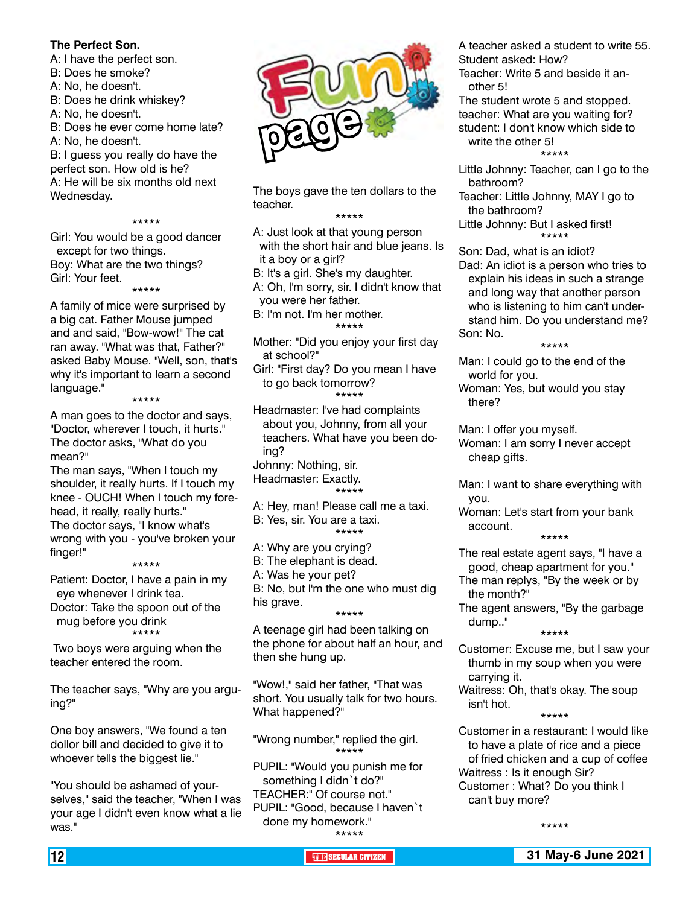#### **The Perfect Son.**

A: I have the perfect son.

- B: Does he smoke?
- A: No, he doesn't.

B: Does he drink whiskey?

- A: No, he doesn't.
- B: Does he ever come home late?
- A: No, he doesn't.

B: I guess you really do have the perfect son. How old is he?

A: He will be six months old next Wednesday.

#### \*\*\*\*\*

Girl: You would be a good dancer except for two things. Boy: What are the two things? Girl: Your feet.

\*\*\*\*\* A family of mice were surprised by a big cat. Father Mouse jumped and and said, "Bow-wow!" The cat ran away. "What was that, Father?" asked Baby Mouse. "Well, son, that's why it's important to learn a second language."

\*\*\*\*\* A man goes to the doctor and says, "Doctor, wherever I touch, it hurts." The doctor asks, "What do you

mean?" The man says, "When I touch my shoulder, it really hurts. If I touch my knee - OUCH! When I touch my forehead, it really, really hurts." The doctor says, "I know what's wrong with you - you've broken your finger!"

\*\*\*\*\*

Patient: Doctor, I have a pain in my eye whenever I drink tea. Doctor: Take the spoon out of the mug before you drink \*\*\*\*\*

 Two boys were arguing when the teacher entered the room.

The teacher says, "Why are you arguing?"

One boy answers, "We found a ten dollor bill and decided to give it to whoever tells the biggest lie."

"You should be ashamed of yourselves," said the teacher, "When I was your age I didn't even know what a lie was."



The boys gave the ten dollars to the teacher.

#### \*\*\*\*\*

A: Just look at that young person with the short hair and blue jeans. Is it a boy or a girl?

B: It's a girl. She's my daughter.

A: Oh, I'm sorry, sir. I didn't know that you were her father.

- B: I'm not. I'm her mother. \*\*\*\*\*
- Mother: "Did you enjoy your first day at school?"

Girl: "First day? Do you mean I have to go back tomorrow? \*\*\*\*\*

Headmaster: I've had complaints about you, Johnny, from all your teachers. What have you been doing?

Johnny: Nothing, sir. Headmaster: Exactly. \*\*\*\*\*

A: Hey, man! Please call me a taxi.

B: Yes, sir. You are a taxi. \*\*\*\*\*

A: Why are you crying?

B: The elephant is dead.

A: Was he your pet?

B: No, but I'm the one who must dig his grave. \*\*\*\*\*

A teenage girl had been talking on the phone for about half an hour, and then she hung up.

"Wow!," said her father, "That was short. You usually talk for two hours. What happened?"

"Wrong number," replied the girl. \*\*\*\*\*

PUPIL: "Would you punish me for something I didn`t do?" TEACHER:" Of course not." PUPIL: "Good, because I haven`t done my homework." \*\*\*\*\*

A teacher asked a student to write 55. Student asked: How?

Teacher: Write 5 and beside it another 5!

The student wrote 5 and stopped. teacher: What are you waiting for? student: I don't know which side to write the other 5! \*\*\*\*\*

- Little Johnny: Teacher, can I go to the bathroom?
- Teacher: Little Johnny, MAY I go to the bathroom?

Little Johnny: But I asked first! \*\*\*\*\*

Son: Dad, what is an idiot?

Dad: An idiot is a person who tries to explain his ideas in such a strange and long way that another person who is listening to him can't understand him. Do you understand me? Son: No.

\*\*\*\*\*

Man: I could go to the end of the world for you.

Woman: Yes, but would you stay there?

Man: I offer you myself. Woman: I am sorry I never accept cheap gifts.

Man: I want to share everything with you.

Woman: Let's start from your bank account.

\*\*\*\*\*

- The real estate agent says, "I have a good, cheap apartment for you."
- The man replys, "By the week or by the month?"
- The agent answers, "By the garbage dump.."

\*\*\*\*\*

- Customer: Excuse me, but I saw your thumb in my soup when you were carrying it.
- Waitress: Oh, that's okay. The soup isn't hot.

\*\*\*\*\*

Customer in a restaurant: I would like to have a plate of rice and a piece of fried chicken and a cup of coffee Waitress : Is it enough Sir? Customer : What? Do you think I can't buy more?

\*\*\*\*\*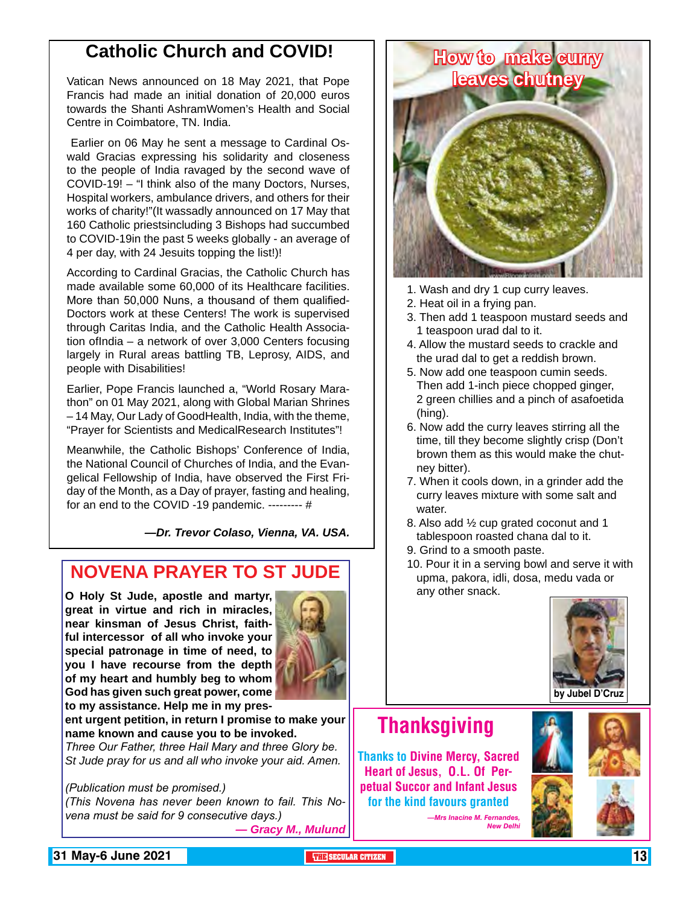### **Catholic Church and COVID!**

Vatican News announced on 18 May 2021, that Pope Francis had made an initial donation of 20,000 euros towards the Shanti AshramWomen's Health and Social Centre in Coimbatore, TN. India.

 Earlier on 06 May he sent a message to Cardinal Oswald Gracias expressing his solidarity and closeness to the people of India ravaged by the second wave of COVID-19! – "I think also of the many Doctors, Nurses, Hospital workers, ambulance drivers, and others for their works of charity!"(It wassadly announced on 17 May that 160 Catholic priestsincluding 3 Bishops had succumbed to COVID-19in the past 5 weeks globally - an average of 4 per day, with 24 Jesuits topping the list!)!

According to Cardinal Gracias, the Catholic Church has made available some 60,000 of its Healthcare facilities. More than 50,000 Nuns, a thousand of them qualified-Doctors work at these Centers! The work is supervised through Caritas India, and the Catholic Health Association ofIndia – a network of over 3,000 Centers focusing largely in Rural areas battling TB, Leprosy, AIDS, and people with Disabilities!

Earlier, Pope Francis launched a, "World Rosary Marathon" on 01 May 2021, along with Global Marian Shrines – 14 May, Our Lady of GoodHealth, India, with the theme, "Prayer for Scientists and MedicalResearch Institutes"!

Meanwhile, the Catholic Bishops' Conference of India, the National Council of Churches of India, and the Evangelical Fellowship of India, have observed the First Friday of the Month, as a Day of prayer, fasting and healing, for an end to the COVID -19 pandemic. --------- #

*—Dr. Trevor Colaso, Vienna, VA. USA.*

### **NOVENA PRAYER TO ST JUDE**

**O Holy St Jude, apostle and martyr, great in virtue and rich in miracles, near kinsman of Jesus Christ, faithful intercessor of all who invoke your special patronage in time of need, to you I have recourse from the depth of my heart and humbly beg to whom God has given such great power, come to my assistance. Help me in my pres-**



**ent urgent petition, in return I promise to make your name known and cause you to be invoked.**

*Three Our Father, three Hail Mary and three Glory be. St Jude pray for us and all who invoke your aid. Amen.* 

#### *(Publication must be promised.)*

*(This Novena has never been known to fail. This Novena must be said for 9 consecutive days.) — Gracy M., Mulund*



- 1. Wash and dry 1 cup curry leaves.
- 2. Heat oil in a frying pan.
- 3. Then add 1 teaspoon mustard seeds and 1 teaspoon urad dal to it.
- 4. Allow the mustard seeds to crackle and the urad dal to get a reddish brown.
- 5. Now add one teaspoon cumin seeds. Then add 1-inch piece chopped ginger, 2 green chillies and a pinch of asafoetida (hing).
- 6. Now add the curry leaves stirring all the time, till they become slightly crisp (Don't brown them as this would make the chutney bitter).
- 7. When it cools down, in a grinder add the curry leaves mixture with some salt and water.
- 8. Also add ½ cup grated coconut and 1 tablespoon roasted chana dal to it.
- 9. Grind to a smooth paste.
- 10. Pour it in a serving bowl and serve it with upma, pakora, idli, dosa, medu vada or any other snack.



# **Thanksgiving**

Thanks to Divine Mercy, Sacred Heart of Jesus, O.L. Of Perpetual Succor and Infant Jesus for the kind favours granted

> *—Mrs Inacine M. Fernandes,*  **New Delh**



**131 May-6 June 2021 The Contract of the SECULAR CITIZEN THE SECULAR CITIZEN 13**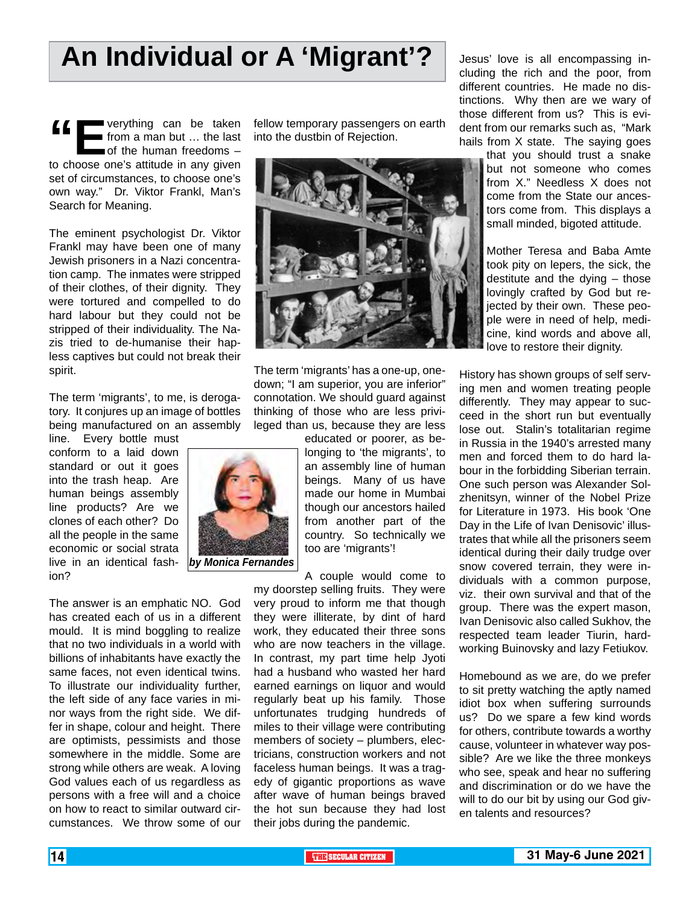# **An Individual or A 'Migrant'?**

**f**<br> **f** from a man but ... the last<br>
to choose one's attitude in any given from a man but ... the last of the human freedoms set of circumstances, to choose one's own way." Dr. Viktor Frankl, Man's Search for Meaning.

The eminent psychologist Dr. Viktor Frankl may have been one of many Jewish prisoners in a Nazi concentration camp. The inmates were stripped of their clothes, of their dignity. They were tortured and compelled to do hard labour but they could not be stripped of their individuality. The Nazis tried to de-humanise their hapless captives but could not break their spirit.

The term 'migrants', to me, is derogatory. It conjures up an image of bottles being manufactured on an assembly

line. Every bottle must conform to a laid down standard or out it goes into the trash heap. Are human beings assembly line products? Are we clones of each other? Do all the people in the same economic or social strata live in an identical fashion?

The answer is an emphatic NO. God has created each of us in a different mould. It is mind boggling to realize that no two individuals in a world with billions of inhabitants have exactly the same faces, not even identical twins. To illustrate our individuality further, the left side of any face varies in minor ways from the right side. We differ in shape, colour and height. There are optimists, pessimists and those somewhere in the middle. Some are strong while others are weak. A loving God values each of us regardless as persons with a free will and a choice on how to react to similar outward circumstances. We throw some of our

fellow temporary passengers on earth into the dustbin of Rejection.



The term 'migrants' has a one-up, onedown; "I am superior, you are inferior" connotation. We should guard against thinking of those who are less privileged than us, because they are less

> educated or poorer, as belonging to 'the migrants', to an assembly line of human beings. Many of us have made our home in Mumbai though our ancestors hailed from another part of the country. So technically we too are 'migrants'!

A couple would come to

my doorstep selling fruits. They were very proud to inform me that though they were illiterate, by dint of hard work, they educated their three sons who are now teachers in the village. In contrast, my part time help Jyoti had a husband who wasted her hard earned earnings on liquor and would regularly beat up his family. Those unfortunates trudging hundreds of miles to their village were contributing members of society – plumbers, electricians, construction workers and not faceless human beings. It was a tragedy of gigantic proportions as wave after wave of human beings braved the hot sun because they had lost their jobs during the pandemic.

Jesus' love is all encompassing including the rich and the poor, from different countries. He made no distinctions. Why then are we wary of those different from us? This is evident from our remarks such as, "Mark hails from X state. The saying goes

> that you should trust a snake but not someone who comes from X." Needless X does not come from the State our ancestors come from. This displays a small minded, bigoted attitude.

> Mother Teresa and Baba Amte took pity on lepers, the sick, the destitute and the dying – those lovingly crafted by God but rejected by their own. These people were in need of help, medicine, kind words and above all, love to restore their dignity.

History has shown groups of self serving men and women treating people differently. They may appear to succeed in the short run but eventually lose out. Stalin's totalitarian regime in Russia in the 1940's arrested many men and forced them to do hard labour in the forbidding Siberian terrain. One such person was Alexander Solzhenitsyn, winner of the Nobel Prize for Literature in 1973. His book 'One Day in the Life of Ivan Denisovic' illustrates that while all the prisoners seem identical during their daily trudge over snow covered terrain, they were individuals with a common purpose, viz. their own survival and that of the group. There was the expert mason, Ivan Denisovic also called Sukhov, the respected team leader Tiurin, hardworking Buinovsky and lazy Fetiukov.

Homebound as we are, do we prefer to sit pretty watching the aptly named idiot box when suffering surrounds us? Do we spare a few kind words for others, contribute towards a worthy cause, volunteer in whatever way possible? Are we like the three monkeys who see, speak and hear no suffering and discrimination or do we have the will to do our bit by using our God given talents and resources?





*by Monica Fernandes*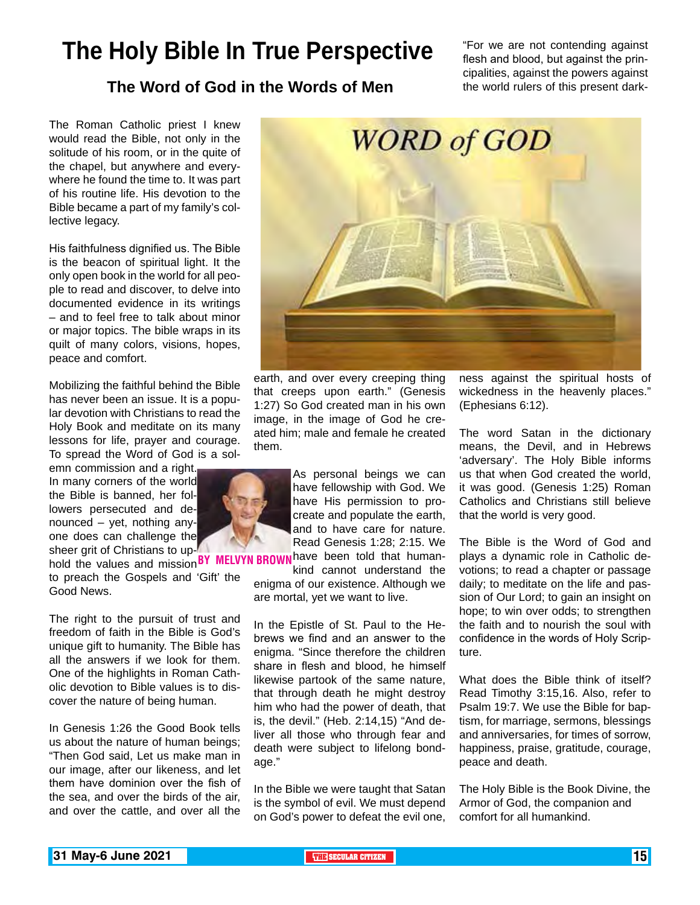# **The Holy Bible In True Perspective**

"For we are not contending against flesh and blood, but against the principalities, against the powers against the world rulers of this present dark-

#### **The Word of God in the Words of Men**

The Roman Catholic priest I knew would read the Bible, not only in the solitude of his room, or in the quite of the chapel, but anywhere and everywhere he found the time to. It was part of his routine life. His devotion to the Bible became a part of my family's collective legacy.

His faithfulness dignified us. The Bible is the beacon of spiritual light. It the only open book in the world for all people to read and discover, to delve into documented evidence in its writings – and to feel free to talk about minor or major topics. The bible wraps in its quilt of many colors, visions, hopes, peace and comfort.

Mobilizing the faithful behind the Bible has never been an issue. It is a popular devotion with Christians to read the Holy Book and meditate on its many lessons for life, prayer and courage. To spread the Word of God is a sol-

emn commission and a right. In many corners of the world the Bible is banned, her followers persecuted and denounced – yet, nothing anyone does can challenge the sheer grit of Christians to up-

to preach the Gospels and 'Gift' the Good News. BY MELVYN BR

The right to the pursuit of trust and freedom of faith in the Bible is God's unique gift to humanity. The Bible has all the answers if we look for them. One of the highlights in Roman Catholic devotion to Bible values is to discover the nature of being human.

In Genesis 1:26 the Good Book tells us about the nature of human beings; "Then God said, Let us make man in our image, after our likeness, and let them have dominion over the fish of the sea, and over the birds of the air, and over the cattle, and over all the



earth, and over every creeping thing that creeps upon earth." (Genesis 1:27) So God created man in his own image, in the image of God he created him; male and female he created them.

> As personal beings we can have fellowship with God. We have His permission to procreate and populate the earth, and to have care for nature. Read Genesis 1:28; 2:15. We

sheet given emissions to up **BY MELVYN BROWN** have been told that human-<br>hold the values and mission **BY MELVYN BROWN** kind, cannot understand the kind cannot understand the enigma of our existence. Although we

are mortal, yet we want to live.

In the Epistle of St. Paul to the Hebrews we find and an answer to the enigma. "Since therefore the children share in flesh and blood, he himself likewise partook of the same nature, that through death he might destroy him who had the power of death, that is, the devil." (Heb. 2:14,15) "And deliver all those who through fear and death were subject to lifelong bondage."

In the Bible we were taught that Satan is the symbol of evil. We must depend on God's power to defeat the evil one, ness against the spiritual hosts of wickedness in the heavenly places." (Ephesians 6:12).

The word Satan in the dictionary means, the Devil, and in Hebrews 'adversary'. The Holy Bible informs us that when God created the world, it was good. (Genesis 1:25) Roman Catholics and Christians still believe that the world is very good.

The Bible is the Word of God and plays a dynamic role in Catholic devotions; to read a chapter or passage daily; to meditate on the life and passion of Our Lord; to gain an insight on hope; to win over odds; to strengthen the faith and to nourish the soul with confidence in the words of Holy Scripture.

What does the Bible think of itself? Read Timothy 3:15,16. Also, refer to Psalm 19:7. We use the Bible for baptism, for marriage, sermons, blessings and anniversaries, for times of sorrow, happiness, praise, gratitude, courage, peace and death.

The Holy Bible is the Book Divine, the Armor of God, the companion and comfort for all humankind.

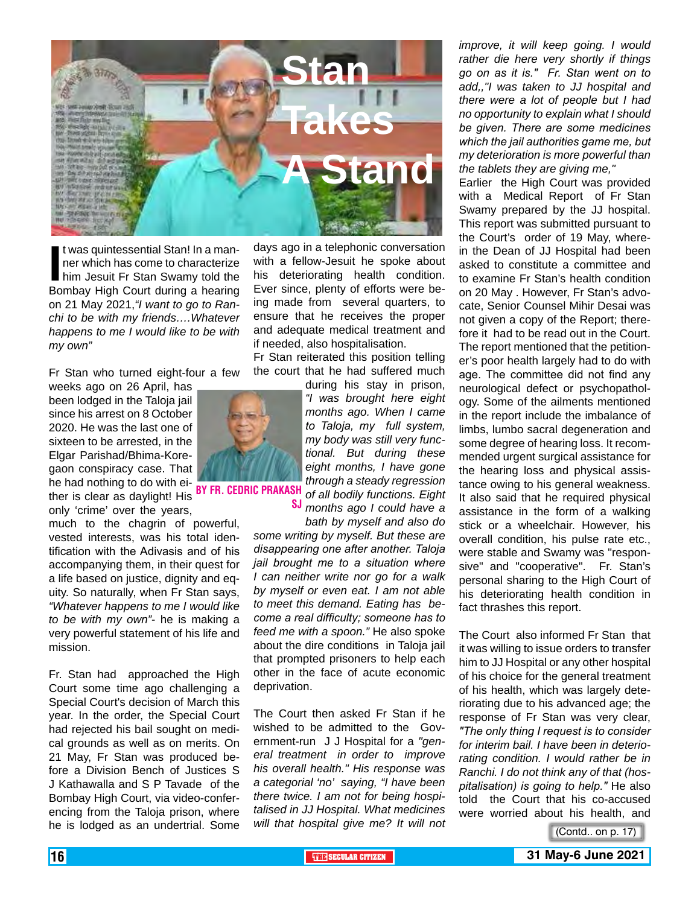

It was quintessential Stan! In a manner which has come to characterize<br>
him Jesuit Fr Stan Swamy told the<br>
Bombay High Court during a hearing t was quintessential Stan! In a manner which has come to characterize him Jesuit Fr Stan Swamy told the on 21 May 2021,*"I want to go to Ranchi to be with my friends….Whatever happens to me I would like to be with my own"*

Fr Stan who turned eight-four a few

weeks ago on 26 April, has been lodged in the Taloja jail since his arrest on 8 October 2020. He was the last one of sixteen to be arrested, in the Elgar Parishad/Bhima-Koregaon conspiracy case. That he had nothing to do with either is clear as daylight! His **BY FR. CEDRIC PRAKA**<br>ther is clear as daylight! His

only 'crime' over the years, much to the chagrin of powerful, vested interests, was his total identification with the Adivasis and of his accompanying them, in their quest for a life based on justice, dignity and equity. So naturally, when Fr Stan says, *"Whatever happens to me I would like to be with my own"*- he is making a very powerful statement of his life and mission.

Fr. Stan had approached the High Court some time ago challenging a Special Court's decision of March this year. In the order, the Special Court had rejected his bail sought on medical grounds as well as on merits. On 21 May, Fr Stan was produced before a Division Bench of Justices S J Kathawalla and S P Tavade of the Bombay High Court, via video-conferencing from the Taloja prison, where he is lodged as an undertrial. Some

days ago in a telephonic conversation with a fellow-Jesuit he spoke about his deteriorating health condition. Ever since, plenty of efforts were being made from several quarters, to ensure that he receives the proper and adequate medical treatment and if needed, also hospitalisation.

Fr Stan reiterated this position telling the court that he had suffered much

during his stay in prison, *"I was brought here eight months ago. When I came to Taloja, my full system, my body was still very functional. But during these eight months, I have gone through a steady regression of all bodily functions. Eight* 

*months ago I could have a bath by myself and also do*  sj

*some writing by myself. But these are disappearing one after another. Taloja jail brought me to a situation where I can neither write nor go for a walk by myself or even eat. I am not able to meet this demand. Eating has become a real difficulty; someone has to feed me with a spoon."* He also spoke about the dire conditions in Taloja jail that prompted prisoners to help each other in the face of acute economic deprivation.

The Court then asked Fr Stan if he wished to be admitted to the Government-run J J Hospital for a *"general treatment in order to improve his overall health." His response was a categorial 'no' saying, "I have been there twice. I am not for being hospitalised in JJ Hospital. What medicines will that hospital give me? It will not* 

*improve, it will keep going. I would rather die here very shortly if things go on as it is." Fr. Stan went on to add,,"I was taken to JJ hospital and there were a lot of people but I had no opportunity to explain what I should be given. There are some medicines which the jail authorities game me, but my deterioration is more powerful than the tablets they are giving me,"* 

Earlier the High Court was provided with a Medical Report of Fr Stan Swamy prepared by the JJ hospital. This report was submitted pursuant to the Court's order of 19 May, wherein the Dean of JJ Hospital had been asked to constitute a committee and to examine Fr Stan's health condition on 20 May . However, Fr Stan's advocate, Senior Counsel Mihir Desai was not given a copy of the Report; therefore it had to be read out in the Court. The report mentioned that the petitioner's poor health largely had to do with age. The committee did not find any neurological defect or psychopathology. Some of the ailments mentioned in the report include the imbalance of limbs, lumbo sacral degeneration and some degree of hearing loss. It recommended urgent surgical assistance for the hearing loss and physical assistance owing to his general weakness. It also said that he required physical assistance in the form of a walking stick or a wheelchair. However, his overall condition, his pulse rate etc., were stable and Swamy was "responsive" and "cooperative". Fr. Stan's personal sharing to the High Court of his deteriorating health condition in fact thrashes this report.

The Court also informed Fr Stan that it was willing to issue orders to transfer him to JJ Hospital or any other hospital of his choice for the general treatment of his health, which was largely deteriorating due to his advanced age; the response of Fr Stan was very clear, *"The only thing I request is to consider for interim bail. I have been in deteriorating condition. I would rather be in Ranchi. I do not think any of that (hospitalisation) is going to help."* He also told the Court that his co-accused were worried about his health, and

(Contd.. on p. 17)

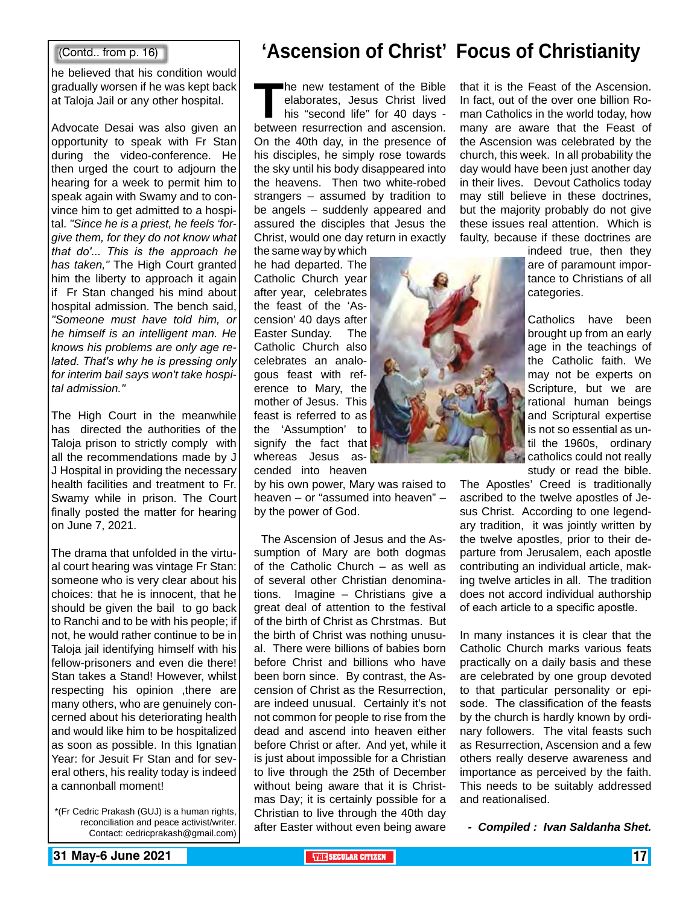#### (Contd.. from p. 16)

he believed that his condition would gradually worsen if he was kept back at Taloja Jail or any other hospital.

Advocate Desai was also given an opportunity to speak with Fr Stan during the video-conference. He then urged the court to adjourn the hearing for a week to permit him to speak again with Swamy and to convince him to get admitted to a hospital. *"Since he is a priest, he feels 'forgive them, for they do not know what that do'... This is the approach he has taken,"* The High Court granted him the liberty to approach it again if Fr Stan changed his mind about hospital admission. The bench said, *"Someone must have told him, or he himself is an intelligent man. He knows his problems are only age related. That's why he is pressing only for interim bail says won't take hospital admission."*

The High Court in the meanwhile has directed the authorities of the Taloja prison to strictly comply with all the recommendations made by J J Hospital in providing the necessary health facilities and treatment to Fr. Swamy while in prison. The Court finally posted the matter for hearing on June 7, 2021.

The drama that unfolded in the virtual court hearing was vintage Fr Stan: someone who is very clear about his choices: that he is innocent, that he should be given the bail to go back to Ranchi and to be with his people; if not, he would rather continue to be in Taloja jail identifying himself with his fellow-prisoners and even die there! Stan takes a Stand! However, whilst respecting his opinion ,there are many others, who are genuinely concerned about his deteriorating health and would like him to be hospitalized as soon as possible. In this Ignatian Year: for Jesuit Fr Stan and for several others, his reality today is indeed a cannonball moment!

\*(Fr Cedric Prakash (GUJ) is a human rights, reconciliation and peace activist/writer. Contact: cedricprakash@gmail.com)

## **'Ascension of Christ' Focus of Christianity**

The new testament of the Bible<br>elaborates, Jesus Christ lived<br>his "second life" for 40 days -<br>between resurrection and ascension. elaborates, Jesus Christ lived his "second life" for 40 days between resurrection and ascension. On the 40th day, in the presence of his disciples, he simply rose towards the sky until his body disappeared into the heavens. Then two white-robed strangers – assumed by tradition to be angels – suddenly appeared and assured the disciples that Jesus the Christ, would one day return in exactly

the same way by which he had departed. The Catholic Church year after year, celebrates the feast of the 'Ascension' 40 days after Easter Sunday. The Catholic Church also celebrates an analogous feast with reference to Mary, the mother of Jesus. This feast is referred to as the 'Assumption' to signify the fact that whereas Jesus ascended into heaven

by his own power, Mary was raised to heaven – or "assumed into heaven" – by the power of God.

 The Ascension of Jesus and the Assumption of Mary are both dogmas of the Catholic Church – as well as of several other Christian denominations. Imagine – Christians give a great deal of attention to the festival of the birth of Christ as Chrstmas. But the birth of Christ was nothing unusual. There were billions of babies born before Christ and billions who have been born since. By contrast, the Ascension of Christ as the Resurrection, are indeed unusual. Certainly it's not not common for people to rise from the dead and ascend into heaven either before Christ or after. And yet, while it is just about impossible for a Christian to live through the 25th of December without being aware that it is Christmas Day; it is certainly possible for a Christian to live through the 40th day after Easter without even being aware



that it is the Feast of the Ascension. In fact, out of the over one billion Roman Catholics in the world today, how many are aware that the Feast of the Ascension was celebrated by the church, this week. In all probability the day would have been just another day in their lives. Devout Catholics today may still believe in these doctrines, but the majority probably do not give these issues real attention. Which is faulty, because if these doctrines are

> indeed true, then they are of paramount importance to Christians of all categories.

> Catholics have been brought up from an early age in the teachings of the Catholic faith. We may not be experts on Scripture, but we are rational human beings and Scriptural expertise is not so essential as until the 1960s, ordinary catholics could not really study or read the bible.

The Apostles' Creed is traditionally ascribed to the twelve apostles of Jesus Christ. According to one legendary tradition, it was jointly written by the twelve apostles, prior to their departure from Jerusalem, each apostle contributing an individual article, making twelve articles in all. The tradition does not accord individual authorship of each article to a specific apostle.

In many instances it is clear that the Catholic Church marks various feats practically on a daily basis and these are celebrated by one group devoted to that particular personality or episode. The classification of the feasts by the church is hardly known by ordinary followers. The vital feasts such as Resurrection, Ascension and a few others really deserve awareness and importance as perceived by the faith. This needs to be suitably addressed and reationalised.

*- Compiled : Ivan Saldanha Shet.*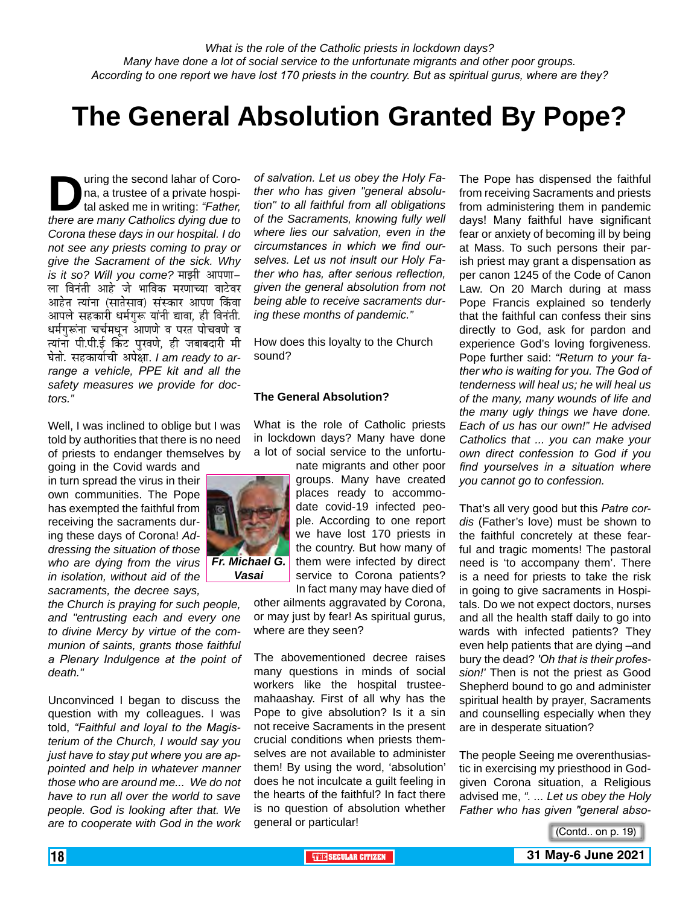*What is the role of the Catholic priests in lockdown days? Many have done a lot of social service to the unfortunate migrants and other poor groups. According to one report we have lost 170 priests in the country. But as spiritual gurus, where are they?*

# **The General Absolution Granted By Pope?**

uring the second lahar of Coro-<br>na, a trustee of a private hospi-<br>tal asked me in writing: "Father,<br>there are many Catholics dying due to na, a trustee of a private hospital asked me in writing: *"Father, there are many Catholics dying due to Corona these days in our hospital. I do not see any priests coming to pray or give the Sacrament of the sick. Why is it so? Will you come?* माझी आपणा– ला विनंती आहे जे भाविक मरणाच्या वाटेवर आहेत त्यांना (सातेसाव) संस्कार आपण किंवा आपले सहकारी धर्मगुरू यांनी द्यावा, ही विनंती. धर्मगुरूंना चर्चमधून आणणे व परत पोचवणे व त्यांना पी.पी.ई किंट पुरवणे, ही जबाबदारी मी घेतो. सहकार्याची अपेक्षा. *I am ready to arrange a vehicle, PPE kit and all the safety measures we provide for doctors."*

Well, I was inclined to oblige but I was told by authorities that there is no need of priests to endanger themselves by

going in the Covid wards and in turn spread the virus in their own communities. The Pope has exempted the faithful from receiving the sacraments during these days of Corona! *Addressing the situation of those who are dying from the virus Fr. Michael G. in isolation, without aid of the sacraments, the decree says,* 

*the Church is praying for such people, and "entrusting each and every one to divine Mercy by virtue of the communion of saints, grants those faithful a Plenary Indulgence at the point of death."*

Unconvinced I began to discuss the question with my colleagues. I was told, *"Faithful and loyal to the Magisterium of the Church, I would say you just have to stay put where you are appointed and help in whatever manner those who are around me... We do not have to run all over the world to save people. God is looking after that. We are to cooperate with God in the work* 

*of salvation. Let us obey the Holy Father who has given "general absolution" to all faithful from all obligations of the Sacraments, knowing fully well where lies our salvation, even in the circumstances in which we find ourselves. Let us not insult our Holy Father who has, after serious reflection, given the general absolution from not being able to receive sacraments during these months of pandemic."*

How does this loyalty to the Church sound?

#### **The General Absolution?**

What is the role of Catholic priests in lockdown days? Many have done a lot of social service to the unfortu-

nate migrants and other poor groups. Many have created places ready to accommodate covid-19 infected people. According to one report we have lost 170 priests in the country. But how many of them were infected by direct service to Corona patients?

In fact many may have died of other ailments aggravated by Corona, or may just by fear! As spiritual gurus, where are they seen?

The abovementioned decree raises many questions in minds of social workers like the hospital trusteemahaashay. First of all why has the Pope to give absolution? Is it a sin not receive Sacraments in the present crucial conditions when priests themselves are not available to administer them! By using the word, 'absolution' does he not inculcate a guilt feeling in the hearts of the faithful? In fact there is no question of absolution whether general or particular!

The Pope has dispensed the faithful from receiving Sacraments and priests from administering them in pandemic days! Many faithful have significant fear or anxiety of becoming ill by being at Mass. To such persons their parish priest may grant a dispensation as per canon 1245 of the Code of Canon Law. On 20 March during at mass Pope Francis explained so tenderly that the faithful can confess their sins directly to God, ask for pardon and experience God's loving forgiveness. Pope further said: *"Return to your father who is waiting for you. The God of tenderness will heal us; he will heal us of the many, many wounds of life and the many ugly things we have done. Each of us has our own!" He advised Catholics that ... you can make your own direct confession to God if you find yourselves in a situation where you cannot go to confession.*

That's all very good but this *Patre cordis* (Father's love) must be shown to the faithful concretely at these fearful and tragic moments! The pastoral need is 'to accompany them'. There is a need for priests to take the risk in going to give sacraments in Hospitals. Do we not expect doctors, nurses and all the health staff daily to go into wards with infected patients? They even help patients that are dying –and bury the dead? *'Oh that is their profession!'* Then is not the priest as Good Shepherd bound to go and administer spiritual health by prayer, Sacraments and counselling especially when they are in desperate situation?

The people Seeing me overenthusiastic in exercising my priesthood in Godgiven Corona situation, a Religious advised me, *". ... Let us obey the Holy Father who has given "general abso-*



*Vasai*

<sup>(</sup>Contd.. on p. 19)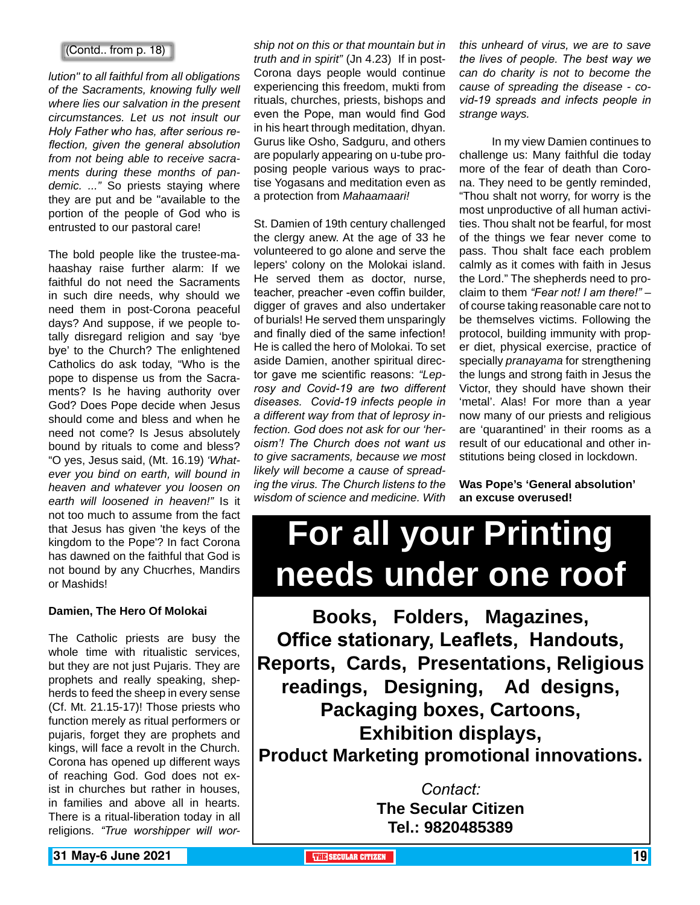#### (Contd.. from p. 18)

*lution" to all faithful from all obligations of the Sacraments, knowing fully well where lies our salvation in the present circumstances. Let us not insult our Holy Father who has, after serious reflection, given the general absolution from not being able to receive sacraments during these months of pandemic. ..."* So priests staying where they are put and be "available to the portion of the people of God who is entrusted to our pastoral care!

The bold people like the trustee-mahaashay raise further alarm: If we faithful do not need the Sacraments in such dire needs, why should we need them in post-Corona peaceful days? And suppose, if we people totally disregard religion and say 'bye bye' to the Church? The enlightened Catholics do ask today, "Who is the pope to dispense us from the Sacraments? Is he having authority over God? Does Pope decide when Jesus should come and bless and when he need not come? Is Jesus absolutely bound by rituals to come and bless? "O yes, Jesus said, (Mt. 16.19) *'Whatever you bind on earth, will bound in heaven and whatever you loosen on earth will loosened in heaven!"* Is it not too much to assume from the fact that Jesus has given 'the keys of the kingdom to the Pope'? In fact Corona has dawned on the faithful that God is not bound by any Chucrhes, Mandirs or Mashids!

#### **Damien, The Hero Of Molokai**

The Catholic priests are busy the whole time with ritualistic services, but they are not just Pujaris. They are prophets and really speaking, shepherds to feed the sheep in every sense (Cf. Mt. 21.15-17)! Those priests who function merely as ritual performers or pujaris, forget they are prophets and kings, will face a revolt in the Church. Corona has opened up different ways of reaching God. God does not exist in churches but rather in houses, in families and above all in hearts. There is a ritual-liberation today in all religions. *"True worshipper will wor-* *ship not on this or that mountain but in truth and in spirit"* (Jn 4.23) If in post-Corona days people would continue experiencing this freedom, mukti from rituals, churches, priests, bishops and even the Pope, man would find God in his heart through meditation, dhyan. Gurus like Osho, Sadguru, and others are popularly appearing on u-tube proposing people various ways to practise Yogasans and meditation even as a protection from *Mahaamaari!*

St. Damien of 19th century challenged the clergy anew. At the age of 33 he volunteered to go alone and serve the lepers' colony on the Molokai island. He served them as doctor, nurse, teacher, preacher -even coffin builder, digger of graves and also undertaker of burials! He served them unsparingly and finally died of the same infection! He is called the hero of Molokai. To set aside Damien, another spiritual director gave me scientific reasons: *"Leprosy and Covid-19 are two different diseases. Covid-19 infects people in a different way from that of leprosy infection. God does not ask for our 'heroism'! The Church does not want us to give sacraments, because we most likely will become a cause of spreading the virus. The Church listens to the wisdom of science and medicine. With*  *this unheard of virus, we are to save the lives of people. The best way we can do charity is not to become the cause of spreading the disease - covid-19 spreads and infects people in strange ways.*

 In my view Damien continues to challenge us: Many faithful die today more of the fear of death than Corona. They need to be gently reminded, "Thou shalt not worry, for worry is the most unproductive of all human activities. Thou shalt not be fearful, for most of the things we fear never come to pass. Thou shalt face each problem calmly as it comes with faith in Jesus the Lord." The shepherds need to proclaim to them *"Fear not! I am there!"* – of course taking reasonable care not to be themselves victims. Following the protocol, building immunity with proper diet, physical exercise, practice of specially *pranayama* for strengthening the lungs and strong faith in Jesus the Victor, they should have shown their 'metal'. Alas! For more than a year now many of our priests and religious are 'quarantined' in their rooms as a result of our educational and other institutions being closed in lockdown.

**Was Pope's 'General absolution' an excuse overused!**

# **For all your Printing needs under one roof**

**Books, Folders, Magazines, Office stationary, Leaflets, Handouts, Reports, Cards, Presentations, Religious readings, Designing, Ad designs, Packaging boxes, Cartoons, Exhibition displays, Product Marketing promotional innovations.**

> *Contact:* **The Secular Citizen Tel.: 9820485389**

**19 St May-6 June 2021 THE THE THE THE** SECULAR CITIZEN **19** SECULAR CITIZEN **19**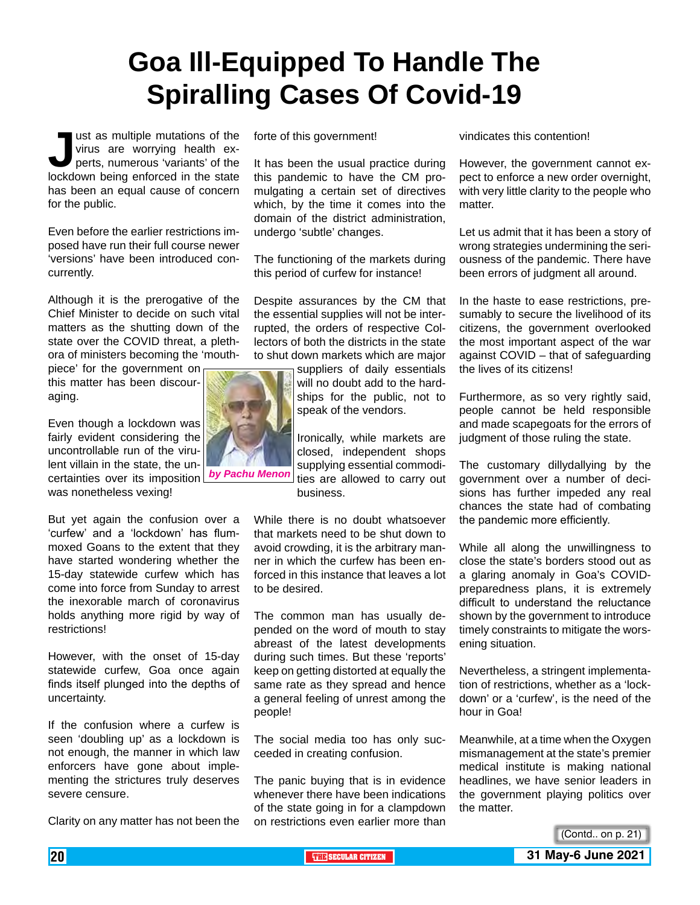# **Goa Ill-Equipped To Handle The Spiralling Cases Of Covid-19**

**Just as multiple mutations of the virus are worrying health experts, numerous 'variants' of the lockdown being enforced in the state** virus are worrying health experts, numerous 'variants' of the has been an equal cause of concern for the public.

Even before the earlier restrictions imposed have run their full course newer 'versions' have been introduced concurrently.

Although it is the prerogative of the Chief Minister to decide on such vital matters as the shutting down of the state over the COVID threat, a plethora of ministers becoming the 'mouth-

piece' for the government on this matter has been discouraging.

Even though a lockdown was fairly evident considering the uncontrollable run of the virulent villain in the state, the uncertainties over its imposition was nonetheless vexing!

But yet again the confusion over a 'curfew' and a 'lockdown' has flummoxed Goans to the extent that they have started wondering whether the 15-day statewide curfew which has come into force from Sunday to arrest the inexorable march of coronavirus holds anything more rigid by way of restrictions!

However, with the onset of 15-day statewide curfew, Goa once again finds itself plunged into the depths of uncertainty.

If the confusion where a curfew is seen 'doubling up' as a lockdown is not enough, the manner in which law enforcers have gone about implementing the strictures truly deserves severe censure.

Clarity on any matter has not been the

forte of this government!

It has been the usual practice during this pandemic to have the CM promulgating a certain set of directives which, by the time it comes into the domain of the district administration, undergo 'subtle' changes.

The functioning of the markets during this period of curfew for instance!

Despite assurances by the CM that the essential supplies will not be interrupted, the orders of respective Collectors of both the districts in the state to shut down markets which are major

> suppliers of daily essentials will no doubt add to the hardships for the public, not to speak of the vendors.

Ironically, while markets are closed, independent shops supplying essential commodities are allowed to carry out business.

While there is no doubt whatsoever that markets need to be shut down to avoid crowding, it is the arbitrary manner in which the curfew has been enforced in this instance that leaves a lot to be desired.

The common man has usually depended on the word of mouth to stay abreast of the latest developments during such times. But these 'reports' keep on getting distorted at equally the same rate as they spread and hence a general feeling of unrest among the people!

The social media too has only succeeded in creating confusion.

The panic buying that is in evidence whenever there have been indications of the state going in for a clampdown on restrictions even earlier more than vindicates this contention!

However, the government cannot expect to enforce a new order overnight, with very little clarity to the people who matter.

Let us admit that it has been a story of wrong strategies undermining the seriousness of the pandemic. There have been errors of judgment all around.

In the haste to ease restrictions, presumably to secure the livelihood of its citizens, the government overlooked the most important aspect of the war against COVID – that of safeguarding the lives of its citizens!

Furthermore, as so very rightly said, people cannot be held responsible and made scapegoats for the errors of judgment of those ruling the state.

The customary dillydallying by the government over a number of decisions has further impeded any real chances the state had of combating the pandemic more efficiently.

While all along the unwillingness to close the state's borders stood out as a glaring anomaly in Goa's COVIDpreparedness plans, it is extremely difficult to understand the reluctance shown by the government to introduce timely constraints to mitigate the worsening situation.

Nevertheless, a stringent implementation of restrictions, whether as a 'lockdown' or a 'curfew', is the need of the hour in Goa!

Meanwhile, at a time when the Oxygen mismanagement at the state's premier medical institute is making national headlines, we have senior leaders in the government playing politics over the matter.

(Contd.. on p. 21)

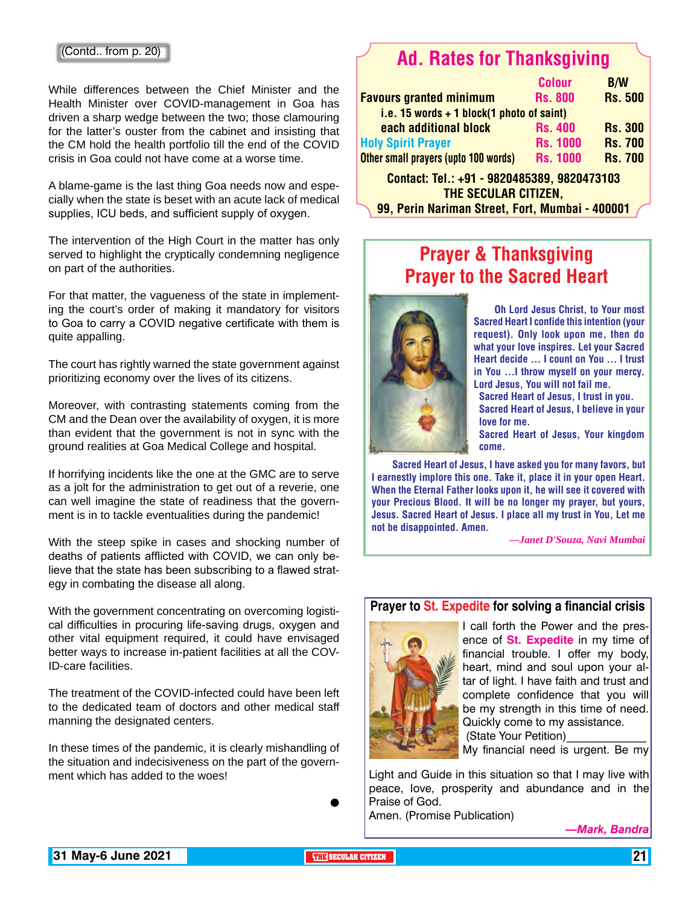#### (Contd.. from p. 20)

While differences between the Chief Minister and the Health Minister over COVID-management in Goa has driven a sharp wedge between the two; those clamouring for the latter's ouster from the cabinet and insisting that the CM hold the health portfolio till the end of the COVID crisis in Goa could not have come at a worse time.

A blame-game is the last thing Goa needs now and especially when the state is beset with an acute lack of medical supplies, ICU beds, and sufficient supply of oxygen.

The intervention of the High Court in the matter has only served to highlight the cryptically condemning negligence on part of the authorities.

For that matter, the vagueness of the state in implementing the court's order of making it mandatory for visitors to Goa to carry a COVID negative certificate with them is quite appalling.

The court has rightly warned the state government against prioritizing economy over the lives of its citizens.

Moreover, with contrasting statements coming from the CM and the Dean over the availability of oxygen, it is more than evident that the government is not in sync with the ground realities at Goa Medical College and hospital.

If horrifying incidents like the one at the GMC are to serve as a jolt for the administration to get out of a reverie, one can well imagine the state of readiness that the government is in to tackle eventualities during the pandemic!

With the steep spike in cases and shocking number of deaths of patients afflicted with COVID, we can only believe that the state has been subscribing to a flawed strategy in combating the disease all along.

With the government concentrating on overcoming logistical difficulties in procuring life-saving drugs, oxygen and other vital equipment required, it could have envisaged better ways to increase in-patient facilities at all the COV-ID-care facilities.

The treatment of the COVID-infected could have been left to the dedicated team of doctors and other medical staff manning the designated centers.

In these times of the pandemic, it is clearly mishandling of the situation and indecisiveness on the part of the government which has added to the woes!

 $\bullet$ 

### Ad. Rates for Thanksgiving

|                                             | <b>Colour</b>   | <b>B/W</b>     |
|---------------------------------------------|-----------------|----------------|
| <b>Favours granted minimum</b>              | <b>Rs. 800</b>  | <b>Rs. 500</b> |
| i.e. 15 words $+$ 1 block(1 photo of saint) |                 |                |
| each additional block                       | <b>Rs. 400</b>  | <b>Rs. 300</b> |
| <b>Holy Spirit Prayer</b>                   | <b>Rs. 1000</b> | <b>Rs. 700</b> |
| Other small prayers (upto 100 words)        | <b>Rs. 1000</b> | <b>Rs. 700</b> |
| 0000405900 0000479409<br>Contact Tel. 04    |                 |                |

Contact: Tel.: +91 - 9820485389, 9820473103 The Secular Citizen, 99, Perin Nariman Street, Fort, Mumbai - 400001

### Prayer & Thanksgiving Prayer to the Sacred Heart



Oh Lord Jesus Christ, to Your most Sacred Heart I confide this intention (your request). Only look upon me, then do what your love inspires. Let your Sacred Heart decide ... I count on You ... I trust in You ...I throw myself on your mercy. Lord Jesus, You will not fail me.

Sacred Heart of Jesus, I trust in you.

Sacred Heart of Jesus, I believe in your love for me.

Sacred Heart of Jesus, Your kingdom come.

Sacred Heart of Jesus, I have asked you for many favors, but I earnestly implore this one. Take it, place it in your open Heart. When the Eternal Father looks upon it, he will see it covered with your Precious Blood. It will be no longer my prayer, but yours, Jesus. Sacred Heart of Jesus. I place all my trust in You, Let me not be disappointed. Amen.

*—Janet D'Souza, Navi Mumbai*

#### **Prayer to St. Expedite for solving a financial crisis**



I call forth the Power and the presence of **St. Expedite** in my time of financial trouble. I offer my body, heart, mind and soul upon your altar of light. I have faith and trust and complete confidence that you will be my strength in this time of need. Quickly come to my assistance. (State Your Petition)

My financial need is urgent. Be my

Light and Guide in this situation so that I may live with peace, love, prosperity and abundance and in the Praise of God.

Amen. (Promise Publication)

*—Mark, Bandra*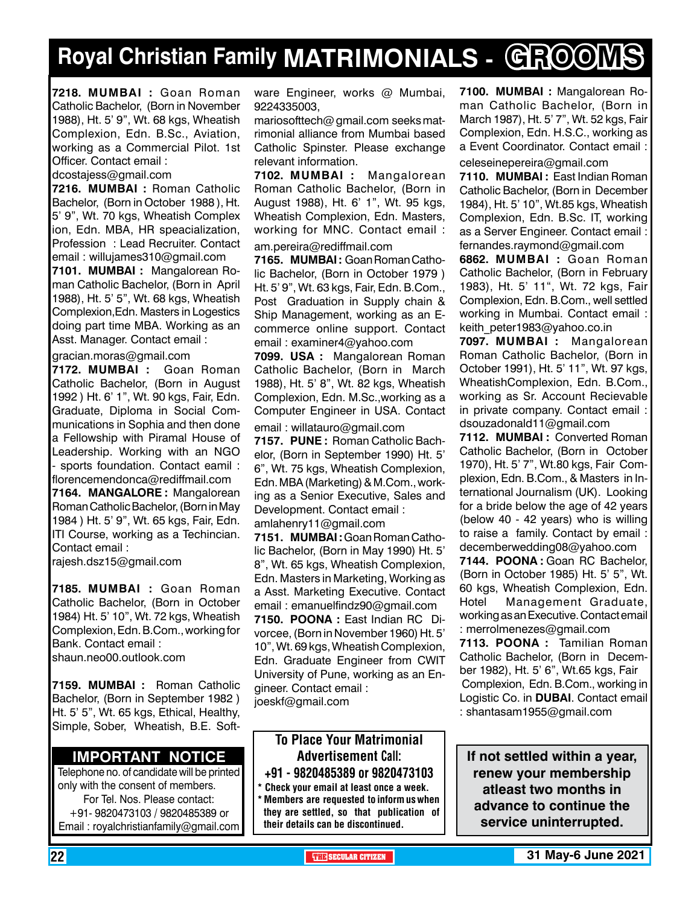# **Royal Christian Family MATRIMONIALS - GROOMS**

**7218. MUMBAI :** Goan Roman Catholic Bachelor, (Born in November 1988), Ht. 5' 9", Wt. 68 kgs, Wheatish Complexion, Edn. B.Sc., Aviation, working as a Commercial Pilot. 1st Officer. Contact email :

dcostajess@gmail.com

**7216. MUMBAI :** Roman Catholic Bachelor, (Born in October 1988 ), Ht. 5' 9", Wt. 70 kgs, Wheatish Complex ion, Edn. MBA, HR speacialization, Profession : Lead Recruiter. Contact email : willujames310@gmail.com

**7101. MUMBAI :** Mangalorean Roman Catholic Bachelor, (Born in April 1988), Ht. 5' 5", Wt. 68 kgs, Wheatish Complexion,Edn. Masters in Logestics doing part time MBA. Working as an Asst. Manager. Contact email :

gracian.moras@gmail.com

**7172. MUMBAI :** Goan Roman Catholic Bachelor, (Born in August 1992 ) Ht. 6' 1", Wt. 90 kgs, Fair, Edn. Graduate, Diploma in Social Communications in Sophia and then done a Fellowship with Piramal House of Leadership. Working with an NGO - sports foundation. Contact eamil : florencemendonca@rediffmail.com **7164. MANGALORE :** Mangalorean Roman Catholic Bachelor, (Born in May 1984 ) Ht. 5' 9", Wt. 65 kgs, Fair, Edn. ITI Course, working as a Techincian. Contact email :

rajesh.dsz15@gmail.com

**7185. MUMBAI :** Goan Roman Catholic Bachelor, (Born in October 1984) Ht. 5' 10", Wt. 72 kgs, Wheatish Complexion, Edn. B.Com., working for Bank. Contact email : shaun.neo00.outlook.com

**7159. MUMBAI :** Roman Catholic Bachelor, (Born in September 1982 ) Ht. 5' 5", Wt. 65 kgs, Ethical, Healthy, Simple, Sober, Wheatish, B.E. Soft-

#### **Important Notice**

Telephone no. of candidate will be printed only with the consent of members. For Tel. Nos. Please contact: +91- 9820473103 / 9820485389 or Email : royalchristianfamily@gmail.com

ware Engineer, works @ Mumbai, 9224335003,

mariosofttech@ gmail.com seeks matrimonial alliance from Mumbai based Catholic Spinster. Please exchange relevant information.

**7102. MUMBAI :** Mangalorean Roman Catholic Bachelor, (Born in August 1988), Ht. 6' 1", Wt. 95 kgs, Wheatish Complexion, Edn. Masters, working for MNC. Contact email : am.pereira@rediffmail.com

**7165. MUMBAI :** Goan Roman Catholic Bachelor, (Born in October 1979 ) Ht. 5' 9", Wt. 63 kgs, Fair, Edn. B.Com., Post Graduation in Supply chain & Ship Management, working as an Ecommerce online support. Contact email : examiner4@yahoo.com

**7099. USA :** Mangalorean Roman Catholic Bachelor, (Born in March 1988), Ht. 5' 8", Wt. 82 kgs, Wheatish Complexion, Edn. M.Sc.,working as a Computer Engineer in USA. Contact email : willatauro@gmail.com

**7157. PUNE :** Roman Catholic Bachelor, (Born in September 1990) Ht. 5' 6", Wt. 75 kgs, Wheatish Complexion, Edn. MBA (Marketing) & M.Com., working as a Senior Executive, Sales and Development. Contact email : amlahenry11@gmail.com

**7151. MUMBAI :** Goan Roman Catholic Bachelor, (Born in May 1990) Ht. 5' 8", Wt. 65 kgs, Wheatish Complexion, Edn. Masters in Marketing, Working as a Asst. Marketing Executive. Contact email : emanuelfindz90@gmail.com **7150. POONA :** East Indian RC Divorcee, (Born in November 1960) Ht. 5' 10", Wt. 69 kgs, Wheatish Complexion, Edn. Graduate Engineer from CWIT University of Pune, working as an Engineer. Contact email : joeskf@gmail.com

#### To Place Your Matrimonial Advertisement Call: +91 - 9820485389 or 9820473103

Check your email at least once a week.

Members are requested to inform us when they are settled, so that publication of their details can be discontinued.

**7100. MUMBAI :** Mangalorean Roman Catholic Bachelor, (Born in March 1987), Ht. 5' 7", Wt. 52 kgs, Fair Complexion, Edn. H.S.C., working as a Event Coordinator. Contact email :

celeseinepereira@gmail.com

**7110. MUMBAI :** East Indian Roman Catholic Bachelor, (Born in December 1984), Ht. 5' 10", Wt.85 kgs, Wheatish Complexion, Edn. B.Sc. IT, working as a Server Engineer. Contact email : fernandes.raymond@gmail.com

**6862. MUMBAI :** Goan Roman Catholic Bachelor, (Born in February 1983), Ht. 5' 11", Wt. 72 kgs, Fair Complexion, Edn. B.Com., well settled working in Mumbai. Contact email : keith\_peter1983@yahoo.co.in

**7097. MUMBAI :** Mangalorean Roman Catholic Bachelor, (Born in October 1991), Ht. 5' 11", Wt. 97 kgs, WheatishComplexion, Edn. B.Com., working as Sr. Account Recievable in private company. Contact email : dsouzadonald11@gmail.com

**7112. MUMBAI :** Converted Roman Catholic Bachelor, (Born in October 1970), Ht. 5' 7", Wt.80 kgs, Fair Complexion, Edn. B.Com., & Masters in International Journalism (UK). Looking for a bride below the age of 42 years (below 40 - 42 years) who is willing to raise a family. Contact by email : decemberwedding08@yahoo.com

**7144. POONA :** Goan RC Bachelor, (Born in October 1985) Ht. 5' 5", Wt. 60 kgs, Wheatish Complexion, Edn. Hotel Management Graduate, working as an Executive. Contact email : merrolmenezes@gmail.com **7113. POONA :** Tamilian Roman Catholic Bachelor, (Born in December 1982), Ht. 5' 6", Wt.65 kgs, Fair Complexion, Edn. B.Com., working in Logistic Co. in **DUBAI**. Contact email : shantasam1955@gmail.com

**If not settled within a year, renew your membership atleast two months in advance to continue the service uninterrupted.**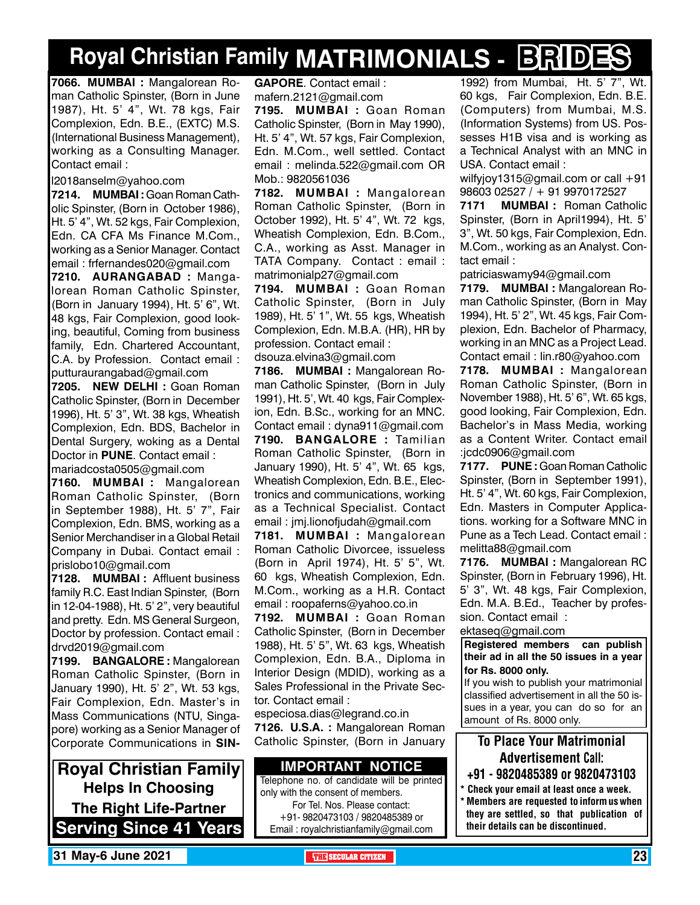# **Royal Christian Family MATRIMONIALS - BRIDES**

**7066. MUMBAI :** Mangalorean Roman Catholic Spinster, (Born in June 1987), Ht. 5' 4", Wt. 78 kgs, Fair Complexion, Edn. B.E., (EXTC) M.S. (International Business Management), working as a Consulting Manager. Contact email :

l2018anselm@yahoo.com

**7214. MUMBAI :** Goan Roman Catholic Spinster, (Born in October 1986), Ht. 5' 4", Wt. 52 kgs, Fair Complexion, Edn. CA CFA Ms Finance M.Com., working as a Senior Manager. Contact email : frfernandes020@gmail.com

**7210. AURANGABAD :** Mangalorean Roman Catholic Spinster, (Born in January 1994), Ht. 5' 6", Wt. 48 kgs, Fair Complexion, good looking, beautiful, Coming from business family, Edn. Chartered Accountant, C.A. by Profession. Contact email : putturaurangabad@gmail.com

**7205. NEW DELHI :** Goan Roman Catholic Spinster, (Born in December 1996), Ht. 5' 3", Wt. 38 kgs, Wheatish Complexion, Edn. BDS, Bachelor in Dental Surgery, woking as a Dental Doctor in **PUNE**. Contact email : mariadcosta0505@gmail.com

**7160. MUMBAI :** Mangalorean Roman Catholic Spinster, (Born in September 1988), Ht. 5' 7", Fair Complexion, Edn. BMS, working as a Senior Merchandiser in a Global Retail Company in Dubai. Contact email : prislobo10@gmail.com

**7128. MUMBAI :** Affluent business family R.C. East Indian Spinster, (Born in 12-04-1988), Ht. 5' 2", very beautiful and pretty. Edn. MS General Surgeon, Doctor by profession. Contact email : drvd2019@gmail.com

**7199. BANGALORE :** Mangalorean Roman Catholic Spinster, (Born in January 1990), Ht. 5' 2", Wt. 53 kgs, Fair Complexion, Edn. Master's in Mass Communications (NTU, Singapore) working as a Senior Manager of Corporate Communications in **SIN-**

**Royal Christian Family Helps In Choosing The Right Life-Partner Serving Since 41 Years** **GAPORE**. Contact email : mafern.2121@gmail.com

**7195. MUMBAI :** Goan Roman Catholic Spinster, (Born in May 1990), Ht. 5' 4", Wt. 57 kgs, Fair Complexion, Edn. M.Com., well settled. Contact email : melinda.522@gmail.com OR Mob.: 9820561036

**7182. MUMBAI :** Mangalorean Roman Catholic Spinster, (Born in October 1992), Ht. 5' 4", Wt. 72 kgs, Wheatish Complexion, Edn. B.Com., C.A., working as Asst. Manager in TATA Company. Contact : email : matrimonialp27@gmail.com

**7194. MUMBAI :** Goan Roman Catholic Spinster, (Born in July 1989), Ht. 5' 1", Wt. 55 kgs, Wheatish Complexion, Edn. M.B.A. (HR), HR by profession. Contact email :

dsouza.elvina3@gmail.com **7186. MUMBAI :** Mangalorean Roman Catholic Spinster, (Born in July 1991), Ht. 5', Wt. 40 kgs, Fair Complexion, Edn. B.Sc., working for an MNC. Contact email : dyna911@gmail.com **7190. BANGALORE :** Tamilian Roman Catholic Spinster, (Born in January 1990), Ht. 5' 4", Wt. 65 kgs, Wheatish Complexion, Edn. B.E., Electronics and communications, working as a Technical Specialist. Contact

email : jmj.lionofjudah@gmail.com **7181. MUMBAI :** Mangalorean Roman Catholic Divorcee, issueless (Born in April 1974), Ht. 5' 5", Wt. 60 kgs, Wheatish Complexion, Edn. M.Com., working as a H.R. Contact email : roopaferns@yahoo.co.in

**7192. MUMBAI :** Goan Roman Catholic Spinster, (Born in December 1988), Ht. 5' 5", Wt. 63 kgs, Wheatish Complexion, Edn. B.A., Diploma in Interior Design (MDID), working as a Sales Professional in the Private Sector. Contact email :

especiosa.dias@legrand.co.in **7126. U.S.A. :** Mangalorean Roman Catholic Spinster, (Born in January

#### **Important Notice**

Telephone no. of candidate will be printed only with the consent of members. For Tel. Nos. Please contact: +91- 9820473103 / 9820485389 or Email : royalchristianfamily@gmail.com

1992) from Mumbai, Ht. 5' 7", Wt. 60 kgs, Fair Complexion, Edn. B.E. (Computers) from Mumbai, M.S. (Information Systems) from US. Possesses H1B visa and is working as a Technical Analyst with an MNC in USA. Contact email :

wilfyjoy1315@gmail.com or call +91 98603 02527 / + 91 9970172527

**7171 MUMBAI :** Roman Catholic Spinster, (Born in April1994), Ht. 5' 3", Wt. 50 kgs, Fair Complexion, Edn. M.Com., working as an Analyst. Contact email :

patriciaswamy94@gmail.com

**7179. MUMBAI :** Mangalorean Roman Catholic Spinster, (Born in May 1994), Ht. 5' 2", Wt. 45 kgs, Fair Complexion, Edn. Bachelor of Pharmacy, working in an MNC as a Project Lead. Contact email : lin.r80@yahoo.com

**7178. MUMBAI :** Mangalorean Roman Catholic Spinster, (Born in November 1988), Ht. 5' 6", Wt. 65 kgs, good looking, Fair Complexion, Edn. Bachelor's in Mass Media, working as a Content Writer. Contact email :jcdc0906@gmail.com

**7177. PUNE :** Goan Roman Catholic Spinster, (Born in September 1991), Ht. 5' 4", Wt. 60 kgs, Fair Complexion, Edn. Masters in Computer Applications. working for a Software MNC in Pune as a Tech Lead. Contact email : melitta88@gmail.com

**7176. MUMBAI :** Mangalorean RC Spinster, (Born in February 1996), Ht. 5' 3", Wt. 48 kgs, Fair Complexion, Edn. M.A. B.Ed., Teacher by profession. Contact email :

ektaseq@gmail.com

**Registered members can publish their ad in all the 50 issues in a year for Rs. 8000 only.**

If you wish to publish your matrimonial classified advertisement in all the 50 issues in a year, you can do so for an amount of Rs. 8000 only.

#### To Place Your Matrimonial Advertisement Call:

- +91 9820485389 or 9820473103
- Check your email at least once a week. \* Members are requested to inform us when they are settled, so that publication of their details can be discontinued.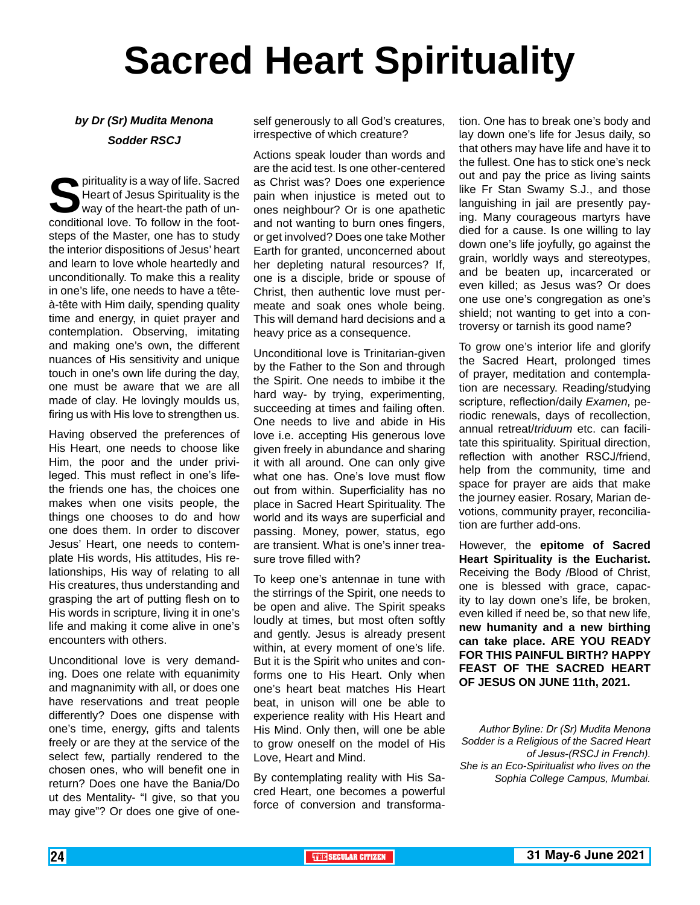# **Sacred Heart Spirituality**

#### *by Dr (Sr) Mudita Menona Sodder RSCJ*

**S**pirituality is a way of life. Sacred Heart of Jesus Spirituality is the way of the heart-the path of unconditional love. To follow in the footsteps of the Master, one has to study the interior dispositions of Jesus' heart and learn to love whole heartedly and unconditionally. To make this a reality in one's life, one needs to have a têteà-tête with Him daily, spending quality time and energy, in quiet prayer and contemplation. Observing, imitating and making one's own, the different nuances of His sensitivity and unique touch in one's own life during the day, one must be aware that we are all made of clay. He lovingly moulds us, firing us with His love to strengthen us.

Having observed the preferences of His Heart, one needs to choose like Him, the poor and the under privileged. This must reflect in one's lifethe friends one has, the choices one makes when one visits people, the things one chooses to do and how one does them. In order to discover Jesus' Heart, one needs to contemplate His words, His attitudes, His relationships, His way of relating to all His creatures, thus understanding and grasping the art of putting flesh on to His words in scripture, living it in one's life and making it come alive in one's encounters with others.

Unconditional love is very demanding. Does one relate with equanimity and magnanimity with all, or does one have reservations and treat people differently? Does one dispense with one's time, energy, gifts and talents freely or are they at the service of the select few, partially rendered to the chosen ones, who will benefit one in return? Does one have the Bania/Do ut des Mentality- "I give, so that you may give"? Or does one give of one-

self generously to all God's creatures, irrespective of which creature?

Actions speak louder than words and are the acid test. Is one other-centered as Christ was? Does one experience pain when injustice is meted out to ones neighbour? Or is one apathetic and not wanting to burn ones fingers, or get involved? Does one take Mother Earth for granted, unconcerned about her depleting natural resources? If, one is a disciple, bride or spouse of Christ, then authentic love must permeate and soak ones whole being. This will demand hard decisions and a heavy price as a consequence.

Unconditional love is Trinitarian-given by the Father to the Son and through the Spirit. One needs to imbibe it the hard way- by trying, experimenting, succeeding at times and failing often. One needs to live and abide in His love i.e. accepting His generous love given freely in abundance and sharing it with all around. One can only give what one has. One's love must flow out from within. Superficiality has no place in Sacred Heart Spirituality. The world and its ways are superficial and passing. Money, power, status, ego are transient. What is one's inner treasure trove filled with?

To keep one's antennae in tune with the stirrings of the Spirit, one needs to be open and alive. The Spirit speaks loudly at times, but most often softly and gently. Jesus is already present within, at every moment of one's life. But it is the Spirit who unites and conforms one to His Heart. Only when one's heart beat matches His Heart beat, in unison will one be able to experience reality with His Heart and His Mind. Only then, will one be able to grow oneself on the model of His Love, Heart and Mind.

By contemplating reality with His Sacred Heart, one becomes a powerful force of conversion and transforma-

tion. One has to break one's body and lay down one's life for Jesus daily, so that others may have life and have it to the fullest. One has to stick one's neck out and pay the price as living saints like Fr Stan Swamy S.J., and those languishing in jail are presently paying. Many courageous martyrs have died for a cause. Is one willing to lay down one's life joyfully, go against the grain, worldly ways and stereotypes, and be beaten up, incarcerated or even killed; as Jesus was? Or does one use one's congregation as one's shield; not wanting to get into a controversy or tarnish its good name?

To grow one's interior life and glorify the Sacred Heart, prolonged times of prayer, meditation and contemplation are necessary. Reading/studying scripture, reflection/daily *Examen,* periodic renewals, days of recollection, annual retreat/*triduum* etc. can facilitate this spirituality. Spiritual direction, reflection with another RSCJ/friend, help from the community, time and space for prayer are aids that make the journey easier. Rosary, Marian devotions, community prayer, reconciliation are further add-ons.

However, the **epitome of Sacred Heart Spirituality is the Eucharist.** Receiving the Body /Blood of Christ, one is blessed with grace, capacity to lay down one's life, be broken, even killed if need be, so that new life, **new humanity and a new birthing can take place. ARE YOU READY FOR THIS PAINFUL BIRTH? HAPPY FEAST OF THE SACRED HEART OF JESUS ON JUNE 11th, 2021.**

*Author Byline: Dr (Sr) Mudita Menona Sodder is a Religious of the Sacred Heart of Jesus-(RSCJ in French). She is an Eco-Spiritualist who lives on the Sophia College Campus, Mumbai.*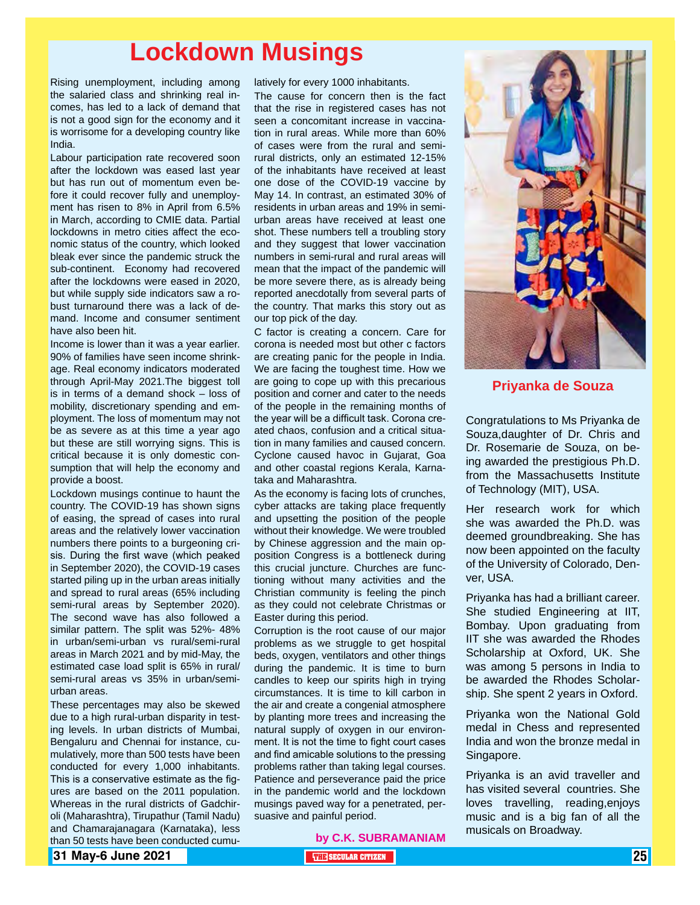# **Lockdown Musings**

Rising unemployment, including among the salaried class and shrinking real incomes, has led to a lack of demand that is not a good sign for the economy and it is worrisome for a developing country like India.

Labour participation rate recovered soon after the lockdown was eased last year but has run out of momentum even before it could recover fully and unemployment has risen to 8% in April from 6.5% in March, according to CMIE data. Partial lockdowns in metro cities affect the economic status of the country, which looked bleak ever since the pandemic struck the sub-continent. Economy had recovered after the lockdowns were eased in 2020, but while supply side indicators saw a robust turnaround there was a lack of demand. Income and consumer sentiment have also been hit.

Income is lower than it was a year earlier. 90% of families have seen income shrinkage. Real economy indicators moderated through April-May 2021.The biggest toll is in terms of a demand shock – loss of mobility, discretionary spending and employment. The loss of momentum may not be as severe as at this time a year ago but these are still worrying signs. This is critical because it is only domestic consumption that will help the economy and provide a boost.

Lockdown musings continue to haunt the country. The COVID-19 has shown signs of easing, the spread of cases into rural areas and the relatively lower vaccination numbers there points to a burgeoning crisis. During the first wave (which peaked in September 2020), the COVID-19 cases started piling up in the urban areas initially and spread to rural areas (65% including semi-rural areas by September 2020). The second wave has also followed a similar pattern. The split was 52%- 48% in urban/semi-urban vs rural/semi-rural areas in March 2021 and by mid-May, the estimated case load split is 65% in rural/ semi-rural areas vs 35% in urban/semiurban areas.

These percentages may also be skewed due to a high rural-urban disparity in testing levels. In urban districts of Mumbai, Bengaluru and Chennai for instance, cumulatively, more than 500 tests have been conducted for every 1,000 inhabitants. This is a conservative estimate as the figures are based on the 2011 population. Whereas in the rural districts of Gadchiroli (Maharashtra), Tirupathur (Tamil Nadu) and Chamarajanagara (Karnataka), less than 50 tests have been conducted cumulatively for every 1000 inhabitants.

The cause for concern then is the fact that the rise in registered cases has not seen a concomitant increase in vaccination in rural areas. While more than 60% of cases were from the rural and semirural districts, only an estimated 12-15% of the inhabitants have received at least one dose of the COVID-19 vaccine by May 14. In contrast, an estimated 30% of residents in urban areas and 19% in semiurban areas have received at least one shot. These numbers tell a troubling story and they suggest that lower vaccination numbers in semi-rural and rural areas will mean that the impact of the pandemic will be more severe there, as is already being reported anecdotally from several parts of the country. That marks this story out as our top pick of the day.

C factor is creating a concern. Care for corona is needed most but other c factors are creating panic for the people in India. We are facing the toughest time. How we are going to cope up with this precarious position and corner and cater to the needs of the people in the remaining months of the year will be a difficult task. Corona created chaos, confusion and a critical situation in many families and caused concern. Cyclone caused havoc in Gujarat, Goa and other coastal regions Kerala, Karnataka and Maharashtra.

As the economy is facing lots of crunches, cyber attacks are taking place frequently and upsetting the position of the people without their knowledge. We were troubled by Chinese aggression and the main opposition Congress is a bottleneck during this crucial juncture. Churches are functioning without many activities and the Christian community is feeling the pinch as they could not celebrate Christmas or Easter during this period.

Corruption is the root cause of our major problems as we struggle to get hospital beds, oxygen, ventilators and other things during the pandemic. It is time to burn candles to keep our spirits high in trying circumstances. It is time to kill carbon in the air and create a congenial atmosphere by planting more trees and increasing the natural supply of oxygen in our environment. It is not the time to fight court cases and find amicable solutions to the pressing problems rather than taking legal courses. Patience and perseverance paid the price in the pandemic world and the lockdown musings paved way for a penetrated, persuasive and painful period.



#### **Priyanka de Souza**

Congratulations to Ms Priyanka de Souza,daughter of Dr. Chris and Dr. Rosemarie de Souza, on being awarded the prestigious Ph.D. from the Massachusetts Institute of Technology (MIT), USA.

Her research work for which she was awarded the Ph.D. was deemed groundbreaking. She has now been appointed on the faculty of the University of Colorado, Denver, USA.

Priyanka has had a brilliant career. She studied Engineering at IIT, Bombay. Upon graduating from IIT she was awarded the Rhodes Scholarship at Oxford, UK. She was among 5 persons in India to be awarded the Rhodes Scholarship. She spent 2 years in Oxford.

Priyanka won the National Gold medal in Chess and represented India and won the bronze medal in Singapore.

Priyanka is an avid traveller and has visited several countries. She loves travelling, reading,enjoys music and is a big fan of all the musicals on Broadway.

**by C.K. SUBRAMANIAM**